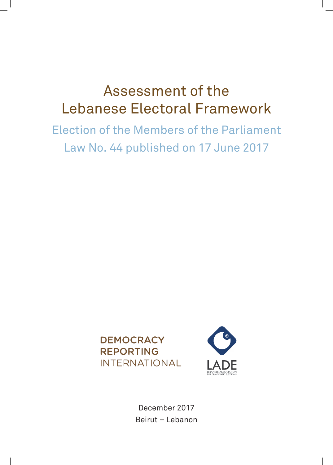# Assessment of the Lebanese Electoral Framework

Election of the Members of the Parliament Law No. 44 published on 17 June 2017





December 2017 Beirut – Lebanon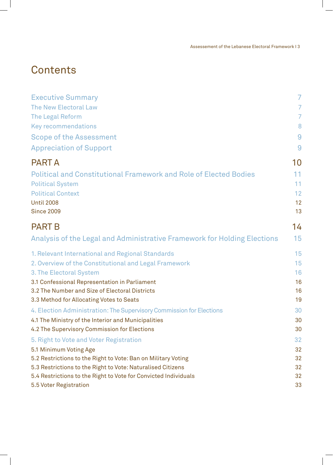Assessement of the Lebanese Electoral Framework I 3

# **Contents**

 $\overline{\phantom{a}}$ 

 $\overline{\phantom{a}}$ 

| <b>Executive Summary</b>                                                 | $\overline{7}$ |
|--------------------------------------------------------------------------|----------------|
| <b>The New Electoral Law</b>                                             | 7              |
| The Legal Reform                                                         | 7              |
| <b>Key recommendations</b>                                               | 8              |
| <b>Scope of the Assessment</b>                                           | 9              |
| <b>Appreciation of Support</b>                                           | 9              |
| <b>PART A</b>                                                            | 10             |
| <b>Political and Constitutional Framework and Role of Elected Bodies</b> | 11             |
| <b>Political System</b>                                                  | 11             |
| <b>Political Context</b>                                                 | 12             |
| <b>Until 2008</b>                                                        | 12             |
| <b>Since 2009</b>                                                        | 13             |
| <b>PART B</b>                                                            | 14             |
| Analysis of the Legal and Administrative Framework for Holding Elections | 15             |
| 1. Relevant International and Regional Standards                         | 15             |
| 2. Overview of the Constitutional and Legal Framework                    | 15             |
| 3. The Electoral System                                                  | 16             |
| 3.1 Confessional Representation in Parliament                            | 16             |
| 3.2 The Number and Size of Electoral Districts                           | 16             |
| 3.3 Method for Allocating Votes to Seats                                 | 19             |
| 4. Election Administration: The Supervisory Commission for Elections     | 30             |
| 4.1 The Ministry of the Interior and Municipalities                      | 30             |
| 4.2 The Supervisory Commission for Elections                             | 30             |
| 5. Right to Vote and Voter Registration                                  | 32             |
| 5.1 Minimum Voting Age                                                   | 32             |
| 5.2 Restrictions to the Right to Vote: Ban on Military Voting            | 32             |
| 5.3 Restrictions to the Right to Vote: Naturalised Citizens              | 32             |
| 5.4 Restrictions to the Right to Vote for Convicted Individuals          | 32             |
| 5.5 Voter Registration                                                   | 33             |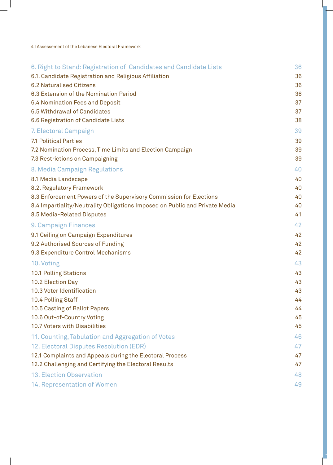4 I Assessement of the Lebanese Electoral Framework

| 6. Right to Stand: Registration of Candidates and Candidate Lists           | 36 |
|-----------------------------------------------------------------------------|----|
| 6.1. Candidate Registration and Religious Affiliation                       | 36 |
| <b>6.2 Naturalised Citizens</b>                                             | 36 |
| 6.3 Extension of the Nomination Period                                      | 36 |
| 6.4 Nomination Fees and Deposit                                             | 37 |
| 6.5 Withdrawal of Candidates                                                | 37 |
| 6.6 Registration of Candidate Lists                                         | 38 |
| 7. Electoral Campaign                                                       | 39 |
| <b>7.1 Political Parties</b>                                                | 39 |
| 7.2 Nomination Process, Time Limits and Election Campaign                   | 39 |
| 7.3 Restrictions on Campaigning                                             | 39 |
| 8. Media Campaign Regulations                                               | 40 |
| 8.1 Media Landscape                                                         | 40 |
| 8.2. Regulatory Framework                                                   | 40 |
| 8.3 Enforcement Powers of the Supervisory Commission for Elections          | 40 |
| 8.4 Impartiality/Neutrality Obligations Imposed on Public and Private Media | 40 |
| 8.5 Media-Related Disputes                                                  | 41 |
| 9. Campaign Finances                                                        | 42 |
| 9.1 Ceiling on Campaign Expenditures                                        | 42 |
| 9.2 Authorised Sources of Funding                                           | 42 |
| 9.3 Expenditure Control Mechanisms                                          | 42 |
| 10. Voting                                                                  | 43 |
| 10.1 Polling Stations                                                       | 43 |
| 10.2 Election Day                                                           | 43 |
| 10.3 Voter Identification                                                   | 43 |
| 10.4 Polling Staff                                                          | 44 |
| 10.5 Casting of Ballot Papers                                               | 44 |
| 10.6 Out-of-Country Voting                                                  | 45 |
| <b>10.7 Voters with Disabilities</b>                                        | 45 |
| 11. Counting, Tabulation and Aggregation of Votes                           | 46 |
| 12. Electoral Disputes Resolution (EDR)                                     | 47 |
| 12.1 Complaints and Appeals during the Electoral Process                    | 47 |
| 12.2 Challenging and Certifying the Electoral Results                       | 47 |
| <b>13. Election Observation</b>                                             | 48 |
| <b>14. Representation of Women</b>                                          | 49 |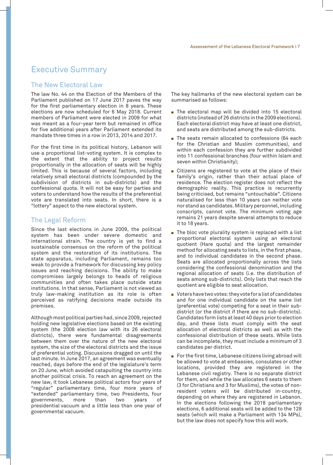## Executive Summary

#### The New Electoral Law

The law No. 44 on the Election of the Members of the Parliament published on 17 June 2017 paves the way for the first parliamentary election in 8 years. These elections are now scheduled for 6 May 2018. Current members of Parliament were elected in 2009 for what was meant as a four-year term but remained in office for five additional years after Parliament extended its mandate three times in a row in 2013, 2014 and 2017.

For the first time in its political history, Lebanon will use a proportional list-voting system. It is complex to the extent that the ability to project results proportionally in the allocation of seats will be highly limited. This is because of several factors, including relatively small electoral districts (compounded by the subdivision of districts in sub-districts) and the confessional quota. It will not be easy for parties and voters to understand how the results of the preferential vote are translated into seats. In short, there is a "lottery" aspect to the new electoral system.

#### The Legal Reform

Since the last elections in June 2009, the political system has been under severe domestic and international strain. The country is yet to find a sustainable consensus on the reform of the political system and the restoration of its institutions. The state apparatus, including Parliament, remains too weak to provide a framework for discussing key policy issues and reaching decisions. The ability to make compromises largely belongs to heads of religious communities and often takes place outside state institutions. In that sense, Parliament is not viewed as truly law-making institution as its role is often perceived as ratifying decisions made outside its premises.

Although most political parties had, since 2009, rejected holding new legislative elections based on the existing system (the 2008 election law with its 26 electoral districts), there were fundamental disagreements between them over the nature of the new electoral system, the size of the electoral districts and the issue of preferential voting. Discussions dragged on until the last minute. In June 2017, an agreement was eventually reached, days before the end of the legislature's term on 20 June, which avoided catapulting the country into another political crisis. To reach an agreement on the new law, it took Lebanese political actors four years of "regular" parliamentary time, four more years of "extended" parliamentary time, two Presidents, four governments, more than two years of presidential vacuum and a little less than one year of governmental vacuum.

The key hallmarks of the new electoral system can be summarised as follows:

- $\blacksquare$  The electoral map will be divided into 15 electoral districts (instead of 26 districts in the 2009 elections). Each electoral district may have at least one district, and seats are distributed among the sub-districts.
- $\blacksquare$  The seats remain allocated to confessions (64 each) for the Christian and Muslim communities), and within each confession they are further subdivided into 11 confessional branches (four within Islam and seven within Christianity);
- $\blacksquare$  Citizens are registered to vote at the place of their family's origin, rather than their actual place of residence. The election register does not reflect the demographic reality. This practice is recurrently being criticised, but remains "untouchable". Citizens naturalised for less than 10 years can neither vote nor stand as candidates. Military personnel, including conscripts, cannot vote. The minimum voting age remains 21 years despite several attempts to reduce it to 18 years.
- $\blacksquare$  The bloc vote plurality system is replaced with a list proportional electoral system using an electoral quotient (Hare quota) and the largest remainder method for allocating seats to lists, in the first phase, and to individual candidates in the second phase. Seats are allocated proportionally across the lists considering the confessional denomination and the regional allocation of seats (i.e. the distribution of seats among sub-districts). Only lists that reach the quotient are eligible to seat allocation.
- $\blacksquare$  Voters have two votes: they vote for a list of candidates and for one individual candidate on the same list (preferential vote) competing for a seat in their subdistrict (or the district if there are no sub-districts). Candidates form lists at least 40 days prior to election day, and these lists must comply with the seat allocation of electoral districts as well as with the confessional distribution of these seats. While lists can be incomplete, they must include a minimum of 3 candidates per district.
- For the first time, Lebanese citizens living abroad will be allowed to vote at embassies, consulates or other locations, provided they are registered in the Lebanese civil registry. There is no separate district for them, and while the law allocates 6 seats to them (3 for Christians and 3 for Muslims), the votes of nonresident voters will be distributed in-country, depending on where they are registered in Lebanon. In the elections following the 2018 parliamentary elections, 6 additional seats will be added to the 128 seats (which will make a Parliament with 134 MPs), but the law does not specify how this will work.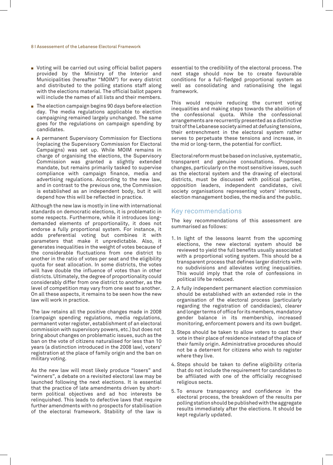#### 8 I Assessement of the Lebanese Electoral Framework

- Voting will be carried out using official ballot papers provided by the Ministry of the Interior and Municipalities (hereafter "MOIM") for every district and distributed to the polling stations staff along with the elections material. The official ballot papers will include the names of all lists and their members.
- $\blacksquare$  The election campaign begins 90 days before election day. The media regulations applicable to election campaigning remained largely unchanged. The same goes for the regulations on campaign spending by candidates.
- A permanent Supervisory Commission for Elections (replacing the Supervisory Commission for Electoral Campaigns) was set up. While MOIM remains in charge of organising the elections, the Supervisory Commission was granted a slightly extended mandate, but remains primarily tasked to supervise compliance with campaign finance, media and advertising regulations. According to the new law, and in contrast to the previous one, the Commission is established as an independent body, but it will depend how this will be reflected in practice.

Although the new law is mostly in line with international standards on democratic elections, it is problematic in some respects. Furthermore, while it introduces longdemanded elements of proportionality, it does not endorse a fully proportional system. For instance, it adds preferential voting but combines it with parameters that make it unpredictable. Also, it generates inequalities in the weight of votes because of the considerable fluctuations from one district to another in the ratio of votes per seat and the eligibility quota for seat allocation. In some districts, the votes will have double the influence of votes than in other districts. Ultimately, the degree of proportionality could considerably differ from one district to another, as the level of competition may vary from one seat to another. On all these aspects, it remains to be seen how the new law will work in practice.

The law retains all the positive changes made in 2008 (campaign spending regulations, media regulations, permanent voter register, establishment of an electoral commission with supervisory powers, etc.) but does not bring about changes on problematic issues, such as the ban on the vote of citizens naturalised for less than 10 years (a distinction introduced in the 2008 law), voters' registration at the place of family origin and the ban on military voting.

As the new law will most likely produce "losers" and "winners", a debate on a revisited electoral law may be launched following the next elections. It is essential that the practice of late amendments driven by shortterm political objectives and ad hoc interests be relinquished. This leads to defective laws that require further amendments with no prospects for stabilisation of the electoral framework. Stability of the law is

essential to the credibility of the electoral process. The next stage should now be to create favourable conditions for a full-fledged proportional system as well as consolidating and rationalising the legal framework.

This would require reducing the current voting inequalities and making steps towards the abolition of the confessional quota. While the confessional arrangements are recurrently presented as a distinctive trait of the Lebanese society aimed at defusing tensions, their entrenchment in the electoral system rather serves to perpetuate these tensions and increase, in the mid or long-term, the potential for conflict.

Electoral reform must be based on inclusive, systematic, transparent and genuine consultations. Proposed changes, particularly on the most sensitive issues, such as the electoral system and the drawing of electoral districts, must be discussed with political parties, opposition leaders, independent candidates, civil society organisations representing voters' interests, election management bodies, the media and the public.

#### Key recommendations

The key recommendations of this assessment are summarised as follows:

- 1. In light of the lessons learnt from the upcoming elections, the new electoral system should be reviewed to yield the full benefits usually associated with a proportional voting system. This should be a transparent process that defines larger districts with no subdivisions and alleviates voting inequalities. This would imply that the role of confessions in political life be reduced.
- 2. A fully independent permanent election commission should be established with an extended role in the organisation of the electoral process (particularly regarding the registration of candidacies), clearer and longer terms of office for its members, mandatory gender balance in its membership, increased monitoring, enforcement powers and its own budget.
- 3. Steps should be taken to allow voters to cast their vote in their place of residence instead of the place of their family origin. Administrative procedures should not be a deterrent for citizens who wish to register where they live.
- 4. Steps should be taken to define eligibility criteria that do not include the requirement for candidates to be affiliated with one of the officially recognised religious sects.
- 5. To ensure transparency and confidence in the electoral process, the breakdown of the results per polling station should be published with the aggregate results immediately after the elections. It should be kept regularly updated.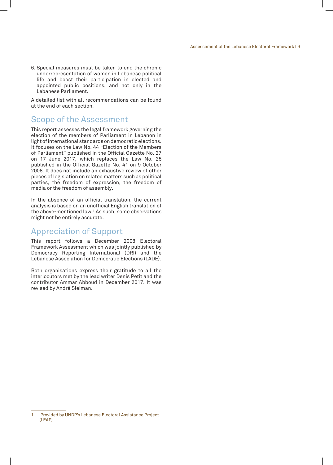6. Special measures must be taken to end the chronic underrepresentation of women in Lebanese political life and boost their participation in elected and appointed public positions, and not only in the Lebanese Parliament.

A detailed list with all recommendations can be found at the end of each section.

## Scope of the Assessment

This report assesses the legal framework governing the election of the members of Parliament in Lebanon in light of international standards on democratic elections. It focuses on the Law No. 44 "Election of the Members of Parliament" published in the Official Gazette No. 27 on 17 June 2017, which replaces the Law No. 25 published in the Official Gazette No. 41 on 9 October 2008. It does not include an exhaustive review of other pieces of legislation on related matters such as political parties, the freedom of expression, the freedom of media or the freedom of assembly.

In the absence of an official translation, the current analysis is based on an unofficial English translation of the above-mentioned law.1 As such, some observations might not be entirely accurate.

## Appreciation of Support

This report follows a December 2008 Electoral Framework Assessment which was jointly published by Democracy Reporting International (DRI) and the Lebanese Association for Democratic Elections (LADE).

Both organisations express their gratitude to all the interlocutors met by the lead writer Denis Petit and the contributor Ammar Abboud in December 2017. It was revised by André Sleiman.

Provided by UNDP's Lebanese Electoral Assistance Project (LEAP).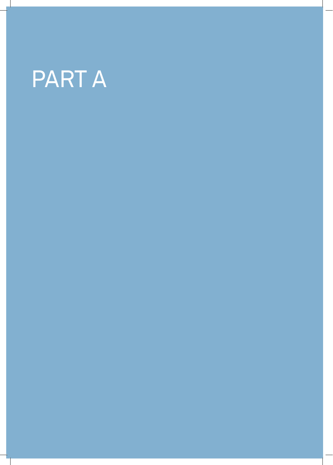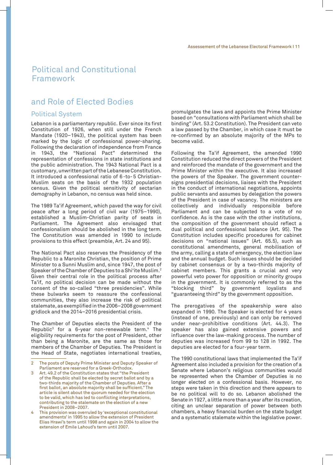## Political and Constitutional Framework

## and Role of Elected Bodies

#### Political System

Lebanon is a parliamentary republic. Ever since its first Constitution of 1926, when still under the French Mandate (1920–1943), the political system has been marked by the logic of confessional power-sharing. Following the declaration of independence from France in 1943, the "National Pact" determined the representation of confessions in state institutions and the public administration. The 1943 National Pact is a customary, unwritten part of the Lebanese Constitution. It introduced a confessional ratio of 6 -to- 5 Christian-Muslim seats on the basis of the 1932 population census. Given the political sensitivity of sectarian demography in Lebanon, no census was held since.

The 1989 Ta'if Agreement, which paved the way for civil peace after a long period of civil war (1975–1990), established a Muslim-Christian parity of seats in Parliament. The Agreement also envisaged that confessionalism should be abolished in the long term. The Constitution was amended in 1990 to include provisions to this effect (preamble, Art. 24 and 95).

The National Pact also reserves the Presidency of the Republic to a Maronite Christian, the position of Prime Minister to a Sunni Muslim and, since 1947, the post of Speaker of the Chamber of Deputies to a Shi'ite Muslim.2 Given their central role in the political process after Ta'if, no political decision can be made without the consent of the so-called "three presidencies". While these bulwarks seem to reassure the confessional communities, they also increase the risk of political stalemate, as exemplified in the 2006–2008 government gridlock and the 2014–2016 presidential crisis.

The Chamber of Deputies elects the President of the Republic3 for a 6-year non-renewable term.4 The eligibility requirements for the post of President, other than being a Maronite, are the same as those for members of the Chamber of Deputies. The President is the Head of State, negotiates international treaties,

promulgates the laws and appoints the Prime Minister based on "consultations with Parliament which shall be binding" (Art. 53.2 Constitution). The President can veto a law passed by the Chamber, in which case it must be re-confirmed by an absolute majority of the MPs to become valid.

Following the Ta'if Agreement, the amended 1990 Constitution reduced the direct powers of the President and reinforced the mandate of the government and the Prime Minister within the executive. It also increased the powers of the Speaker. The government countersigns presidential decisions, liaises with the President in the conduct of international negotiations, appoints public servants and assumes by delegation the powers of the President in case of vacancy. The ministers are collectively and individually responsible before Parliament and can be subjected to a vote of no confidence. As is the case with the other institutions, the composition of the government should reflect a dual political and confessional balance (Art. 95). The Constitution includes specific procedures for cabinet decisions on "national issues" (Art. 65.5), such as constitutional amendments, general mobilisation of the army, calling a state of emergency, the election law and the annual budget. Such issues should be decided by cabinet consensus or by a two-thirds majority of cabinet members. This grants a crucial and very powerful veto power for opposition or minority groups in the government. It is commonly referred to as the "blocking third" by government loyalists and "guaranteeing third" by the government opposition.

The prerogatives of the speakership were also expanded in 1990. The Speaker is elected for 4 years (instead of one, previously) and can only be removed under near-prohibitive conditions (Art. 44.3). The speaker has also gained extensive powers and influence over the law-making process. The number of deputies was increased from 99 to 128 in 1992. The deputies are elected for a four-year term.

The 1990 constitutional laws that implemented the Ta'if Agreement also included a provision for the creation of a Senate where Lebanon's religious communities would be represented when the Chamber of Deputies is no longer elected on a confessional basis. However, no steps were taken in this direction and there appears to be no political will to do so. Lebanon abolished the Senate in 1927, a little more than a year after its creation, citing an unclear separation of power between both chambers, a heavy financial burden on the state budget and a systematic stalemate within the legislative power.

<sup>2</sup> The posts of Deputy Prime Minister and Deputy Speaker of Parliament are reserved for a Greek-Orthodox.

<sup>3</sup> Art. 49.2 of the Constitution states that "the President of the Republic shall be elected by secret ballot and by a two-thirds majority of the Chamber of Deputies. After a first ballot, an absolute majority shall be sufficient." The article is silent about the quorum needed for the election to be valid, which has led to conflicting interpretations, contributing to the stalemate on the election of a new President in 2008–2007.

This provision was overruled by 'exceptional constitutional amendments' in 1995 to allow the extension of President Elias Hrawi's term until 1998 and again in 2004 to allow the extension of Émile Lahoud's term until 2007.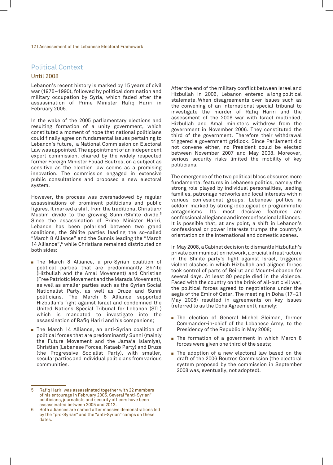## Political Context

#### Until 2008

Lebanon's recent history is marked by 15 years of civil war (1975–1990), followed by political domination and military occupation by Syria, which faded after the assassination of Prime Minister Rafiq Hariri in February 2005.

In the wake of the 2005 parliamentary elections and resulting formation of a unity government, which constituted a moment of hope that national politicians could finally agree on fundamental issues pertaining to Lebanon's future, a National Commission on Electoral Law was appointed. The appointment of an independent expert commission, chaired by the widely respected former Foreign Minister Fouad Boutros, on a subject as sensitive as the election law seems as a promising innovation. The commission engaged in extensive public consultations and proposed a new electoral system.

However, the process was overshadowed by regular assassinations of prominent politicians and public figures. It marked a shift from the traditional Christian/ Muslim divide to the growing Sunni/Shi'ite divide.5 Since the assassination of Prime Minister Hariri, Lebanon has been polarised between two grand coalitions, the Shi'ite parties leading the so-called "March 8 Alliance" and the Sunnis leading the "March 14 Alliance",6 while Christians remained distributed on both sides:

- The March 8 Alliance, a pro-Syrian coalition of political parties that are predominantly Shi'ite (Hizbullah and the Amal Movement) and Christian (Free Patriotic Movement and the Marada Movement), as well as smaller parties such as the Syrian Social Nationalist Party, as well as Druze and Sunni politicians. The March 8 Alliance supported Hizbullah's fight against Israel and condemned the United Nations Special Tribunal for Lebanon (STL) which is mandated to investigate into the assassination of Rafiq Hariri and his companions;
- **Fig.** The March 14 Alliance, an anti-Syrian coalition of political forces that are predominantly Sunni (mainly the Future Movement and the Jama'a Islamiya), Christian (Lebanese Forces, Kataeb Party) and Druze (the Progressive Socialist Party), with smaller, secular parties and individual politicians from various communities.

After the end of the military conflict between Israel and Hizbullah in 2006, Lebanon entered a long political stalemate. When disagreements over issues such as the convening of an international special tribunal to investigate the murder of Rafiq Hariri and the assessment of the 2006 war with Israel multiplied, Hizbullah and Amal ministers withdrew from the government in November 2006. They constituted the third of the government. Therefore their withdrawal triggered a government gridlock. Since Parliament did not convene either, no President could be elected between November 2007 and May 2008. Moreover, serious security risks limited the mobility of key politicians.

The emergence of the two political blocs obscures more fundamental features in Lebanese politics, namely the strong role played by individual personalities, leading families, patronage networks and local interests within various confessional groups. Lebanese politics is seldom marked by strong ideological or programmatic antagonisms. Its most decisive features are confessional allegiance and interconfessional alliances. It is possible that, at any point, a shift in Lebanon's confessional or power interests trumps the country's orientation on the international and domestic scenes.

In May 2008, a Cabinet decision to dismantle Hizbullah's private communication network, a crucial infrastructure in the Shi'ite party's fight against Israel, triggered violent clashes in which Hizbullah and aligned forces took control of parts of Beirut and Mount-Lebanon for several days. At least 80 people died in the violence. Faced with the country on the brink of all-out civil war, the political forces agreed to negotiations under the aegis of the Emir of Qatar. The meeting in Doha (17–21 May 2008) resulted in agreements on key issues (referred to as the Doha Agreement), namely:

- **Fi** The election of General Michel Sleiman, former Commander-in-chief of the Lebanese Army, to the Presidency of the Republic in May 2008;
- $\blacksquare$  The formation of a government in which March 8 forces were given one third of the seats;
- $\blacksquare$  The adoption of a new electoral law based on the draft of the 2006 Boutros Commission (the electoral system proposed by the commission in September 2008 was, eventually, not adopted).

<sup>5</sup> Rafiq Hariri was assassinated together with 22 members of his entourage in February 2005. Several "anti-Syrian" politicians, journalists and security officers have been assassinated between 2005 and 2012.

<sup>6</sup> Both alliances are named after massive demonstrations led by the "pro-Syrian" and the "anti-Syrian" camps on these dates.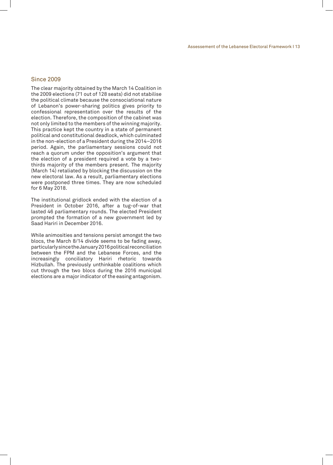#### Since 2009

The clear majority obtained by the March 14 Coalition in the 2009 elections (71 out of 128 seats) did not stabilise the political climate because the consociational nature of Lebanon's power-sharing politics gives priority to confessional representation over the results of the election. Therefore, the composition of the cabinet was not only limited to the members of the winning majority. This practice kept the country in a state of permanent political and constitutional deadlock, which culminated in the non-election of a President during the 2014–2016 period. Again, the parliamentary sessions could not reach a quorum under the opposition's argument that the election of a president required a vote by a twothirds majority of the members present. The majority (March 14) retaliated by blocking the discussion on the new electoral law. As a result, parliamentary elections were postponed three times. They are now scheduled for 6 May 2018.

The institutional gridlock ended with the election of a President in October 2016, after a tug-of-war that lasted 46 parliamentary rounds. The elected President prompted the formation of a new government led by Saad Hariri in December 2016.

While animosities and tensions persist amongst the two blocs, the March 8/14 divide seems to be fading away, particularly since the January 2016 political reconciliation between the FPM and the Lebanese Forces, and the increasingly conciliatory Hariri rhetoric towards Hizbullah. The previously unthinkable coalitions which cut through the two blocs during the 2016 municipal elections are a major indicator of the easing antagonism.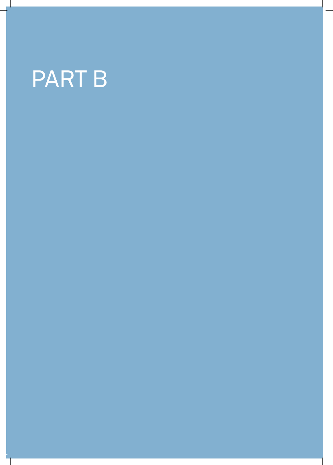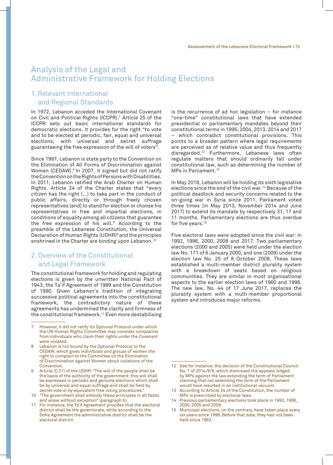## Analysis of the Legal and Administrative Framework for Holding Elections

## 1. Relevant International and Regional Standards

In 1972, Lebanon acceded the International Covenant on Civil and Political Rights (ICCPR).7 Article 25 of the ICCPR sets out basic international standards for democratic elections. It provides for the right "to vote and to be elected at periodic, fair, equal and universal elections, with universal and secret suffrage guaranteeing the free expression of the will of voters".

Since 1997, Lebanon is state party to the Convention on the Elimination of All Forms of Discrimination against Women (CEDAW).<sup>8</sup> In 2007, it signed but did not ratify the Convention on the Rights of Persons with Disabilities. In 2011, Lebanon ratified the Arab Charter on Human Rights. Article 24 of the Charter states that "every citizen has the right (...) to take part in the conduct of public affairs, directly or through freely chosen representatives [and] to stand for election or choose his representatives in free and impartial elections, in conditions of equality among all citizens that guarantee the free expression of his will." According to the preamble of the Lebanese Constitution, the Universal Declaration of Human Rights (UDHR)9 and the principles enshrined in the Charter are binding upon Lebanon.10

## 2. Overview of the Constitutional and Legal Framework

The constitutional framework for holding and regulating elections is given by the unwritten National Pact of 1943, the Ta'if Agreement of 1989 and the Constitution of 1990. Given Lebanon's tradition of integrating successive political agreements into the constitutional framework, the contradictory nature of these agreements has undermined the clarity and firmness of the constitutional framework.11 Even more destabilising

10 "The government shall embody these principles in all fields and areas without exception" (paragraph b).

is the recurrence of ad hoc legislation  $-$  for instance "one-time" constitutional laws that have extended presidential or parliamentary mandates beyond their constitutional terms in 1995, 2004, 2013, 2014 and 2017 – which contradict constitutional provisions. This points to a broader pattern where legal requirements are perceived as of relative value and thus frequently disregarded.12 Furthermore, Lebanese laws often regulate matters that should ordinarily fall under constitutional law, such as determining the number of MPs in Parliament.<sup>13</sup>

In May 2018, Lebanon will be holding its sixth legislative elections since the end of the civil war.14 Because of the political deadlock and security concerns related to the on-going war in Syria since 2011, Parliament voted three times (in May 2013, November 2014 and June 2017) to extend its mandate by respectively 31, 17 and 11 months. Parliamentary elections are thus overdue for five years.<sup>15</sup>

Five electoral laws were adopted since the civil war: in 1992, 1996, 2000, 2008 and 2017. Two parliamentary elections (2000 and 2005) were held under the election law No. 171 of 6 January 2000, and one (2009) under the election law No. 25 of 8 October 2008. These laws established a multi-member district plurality system with a breakdown of seats based on religious communities. They are similar in most organisational aspects to the earlier election laws of 1960 and 1996. The new law, No. 44 of 17 June 2017, replaces the plurality system with a multi-member proportional system and introduces major reforms.

However, it did not ratify its Optional Protocol under which the UN Human Rights Committee may consider complaints from individuals who claim their rights under the Covenant were violated.

Lebanon is not bound by the Optional Protocol to the CEDAW, which gives individuals and groups of women the right to complain to the Committee on the Elimination of Discrimination against Women about violations of the Convention.

Article 3) 21) of the UDHR: "The will of the people shall be the basis of the authority of the government; this will shall be expressed in periodic and genuine elections which shall be by universal and equal suffrage and shall be held by secret vote or by equivalent free voting procedures.'

<sup>11</sup> For instance, the Ta'if Agreement provides that the electoral district shall be the governorate, while according to the Doha Agreement the administrative district shall be the electoral district.

<sup>12</sup> See for instance: the decision of the Constitutional Council No. 7 of 2014/8/6, which dismissed the appeals lodged by MPs against the law extending the term of Parliament claiming that not extending the term of the Parliament would have resulted in an institutional vacuum.

<sup>13</sup> According to Article 24 of the Constitution, the number of MPs is prescribed by electoral laws.

<sup>14</sup> Previous parliamentary elections took place in 1992, 1996, 2000, 2005 and 2009.

<sup>15</sup> Municipal elections, on the contrary, have taken place every six years since 1998. Before that date, they had not been held since 1963.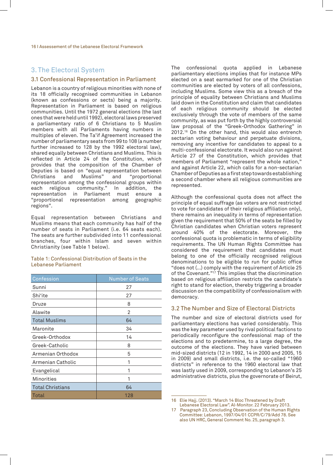### 3. The Electoral System

#### 3.1 Confessional Representation in Parliament

Lebanon is a country of religious minorities with none of its 18 officially recognised communities in Lebanon (known as confessions or sects) being a majority. Representation in Parliament is based on religious communities. Until the 1972 general elections (the last ones that were held until 1992), electoral laws preserved a parliamentary ratio of 6 Christians to 5 Muslim members with all Parliaments having numbers in multiples of eleven. The Ta'if Agreement increased the number of parliamentary seats from 99 to 108 (a number further increased to 128 by the 1992 electoral law), shared equally between Christians and Muslims. This is reflected in Article 24 of the Constitution, which provides that the composition of the Chamber of Deputies is based on "equal representation between<br>Christians and Muslims" and "proportional "proportional representation among the confessional groups within each religious community." In addition, the representation in Parliament must ensure a "proportional representation among geographic regions".

Equal representation between Christians and Muslims means that each community has half of the number of seats in Parliament (i.e. 64 seats each). The seats are further subdivided into 11 confessional branches, four within Islam and seven within Christianity (see Table 1 below).

Table 1: Confessional Distribution of Seats in the Lebanese Parliament

| Confession              | <b>Number of Seats</b> |
|-------------------------|------------------------|
| Sunni                   | 27                     |
| Shi'ite                 | 27                     |
| Druze                   | 8                      |
| Alawite                 | 2                      |
| <b>Total Muslims</b>    | 64                     |
| Maronite                | 34                     |
| Greek-Orthodox          | 14                     |
| Greek-Catholic          | 8                      |
| Armenian Orthodox       | 5                      |
| Armenian Catholic       | 1                      |
| Evangelical             | 1                      |
| <b>Minorities</b>       | 1                      |
| <b>Total Christians</b> | 64                     |
| Total                   | 128                    |

The confessional quota applied in Lebanese parliamentary elections implies that for instance MPs elected on a seat earmarked for one of the Christian communities are elected by voters of all confessions, including Muslims. Some view this as a breach of the principle of equality between Christians and Muslims laid down in the Constitution and claim that candidates of each religious community should be elected exclusively through the vote of members of the same community, as was put forth by the highly controversial law proposal of the "Greek-Orthodox Gathering" in 2012.16 On the other hand, this would also entrench sectarian voting behaviour and perpetuate divisions, removing any incentive for candidates to appeal to a multi-confessional electorate. It would also run against Article 27 of the Constitution, which provides that members of Parliament "represent the whole nation," and against Article 22, which calls for a non-sectarian Chamber of Deputies as a first step towards establishing a second chamber where all religious communities are represented.

Although the confessional quota does not affect the principle of equal suffrage (as voters are not restricted to vote for candidates of their religious affiliation only), there remains an inequality in terms of representation given the requirement that 50% of the seats be filled by Christian candidates when Christian voters represent around 40% of the electorate. Moreover, the confessional quota is problematic in terms of eligibility requirements. The UN Human Rights Committee has considered the requirement that candidates must belong to one of the officially recognised religious denominations to be eligible to run for public office "does not (…) comply with the requirement of Article 25 of the Covenant."<sup>17</sup> This implies that the discrimination based on religious affiliation restricts the candidate's right to stand for election, thereby triggering a broader discussion on the compatibility of confessionalism with democracy.

#### 3.2 The Number and Size of Electoral Districts

The number and size of electoral districts used for parliamentary elections has varied considerably. This was the key parameter used by rival political factions to periodically reconfigure the confessional map of the elections and to predetermine, to a large degree, the outcome of the elections. They have varied between mid-sized districts (12 in 1992, 14 in 2000 and 2005, 15 in 2009) and small districts, i.e. the so-called "1960 districts" in reference to the 1960 electoral law that was lastly used in 2009, corresponding to Lebanon's 25 administrative districts, plus the governorate of Beirut,

<sup>16</sup> Elie Hajj. (2013). "March 14 Bloc Threatened by Draft Lebanese Electoral Law". Al-Monitor. 22 February 2013.

<sup>17</sup> Paragraph 23, Concluding Observation of the Human Rights Committee: Lebanon, 1997/04/01 CCPR/C/79/Add 78. See also UN HRC, General Comment No. 25, paragraph 3.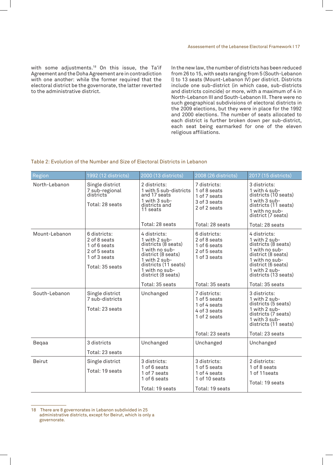with some adjustments.18 On this issue, the Ta'if Agreement and the Doha Agreement are in contradiction with one another: while the former required that the electoral district be the governorate, the latter reverted to the administrative district.

In the new law, the number of districts has been reduced from 26 to 15, with seats ranging from 5 (South-Lebanon I) to 13 seats (Mount-Lebanon IV) per district. Districts include one sub-district (in which case, sub-districts and districts coincide) or more, with a maximum of 4 in North-Lebanon III and South-Lebanon III. There were no such geographical subdivisions of electoral districts in the 2009 elections, but they were in place for the 1992 and 2000 elections. The number of seats allocated to each district is further broken down per sub-district, each seat being earmarked for one of the eleven religious affiliations.

#### Table 2: Evolution of the Number and Size of Electoral Districts in Lebanon

| Region        | 1992 (12 districts)                                                                             | 2000 (13 districts)                                                                                                                                                           | 2008 (26 districts)                                                              | 2017 (15 districts)                                                                                                                                                           |
|---------------|-------------------------------------------------------------------------------------------------|-------------------------------------------------------------------------------------------------------------------------------------------------------------------------------|----------------------------------------------------------------------------------|-------------------------------------------------------------------------------------------------------------------------------------------------------------------------------|
| North-Lebanon | Single district<br>7 sub-regional<br>districts<br>Total: 28 seats                               | 2 districts:<br>1 with 5 sub-districts<br>and 17 seats<br>1 with 3 sub-<br>districts and<br>11 seats                                                                          | 7 districts:<br>1 of 8 seats<br>1 of 7 seats<br>3 of 3 seats<br>2 of 2 seats     | 3 districts:<br>1 with 4 sub-<br>districts (10 seats)<br>1 with 3 sub-<br>districts (11 seats)<br>1 with no sub-<br>district (7 seats)                                        |
|               |                                                                                                 | Total: 28 seats                                                                                                                                                               | Total: 28 seats                                                                  | Total: 28 seats                                                                                                                                                               |
| Mount-Lebanon | 6 districts:<br>2 of 8 seats<br>1 of 6 seats<br>2 of 5 seats<br>1 of 3 seats<br>Total: 35 seats | 4 districts:<br>1 with 2 sub-<br>districts (8 seats)<br>1 with no sub-<br>district (8 seats)<br>1 with 2 sub-<br>districts (11 seats)<br>1 with no sub-<br>district (8 seats) | 6 districts:<br>2 of 8 seats<br>1 of 6 seats<br>2 of 5 seats<br>1 of 3 seats     | 4 districts:<br>1 with 2 sub-<br>districts (8 seats)<br>1 with no sub-<br>district (8 seats)<br>1 with no sub-<br>district (6 seats)<br>1 with 2 sub-<br>districts (13 seats) |
|               |                                                                                                 | Total: 35 seats                                                                                                                                                               | Total: 35 seats                                                                  | Total: 35 seats                                                                                                                                                               |
| South-Lebanon | Single district<br>7 sub-districts<br>Total: 23 seats                                           | Unchanged                                                                                                                                                                     | 7 districts:<br>1 of 5 seats<br>1 of 4 seats<br>4 of 3 seats<br>1 of 2 seats     | 3 districts:<br>1 with 2 sub-<br>districts (5 seats)<br>1 with 2 sub-<br>districts (7 seats)<br>1 with 3 sub-<br>districts (11 seats)                                         |
|               |                                                                                                 |                                                                                                                                                                               | Total: 23 seats                                                                  | Total: 23 seats                                                                                                                                                               |
| Beqaa         | 3 districts                                                                                     | Unchanged                                                                                                                                                                     | Unchanged                                                                        | Unchanged                                                                                                                                                                     |
|               | Total: 23 seats                                                                                 |                                                                                                                                                                               |                                                                                  |                                                                                                                                                                               |
| <b>Beirut</b> | Single district<br>Total: 19 seats                                                              | 3 districts:<br>1 of 6 seats<br>1 of 7 seats<br>1 of 6 seats<br>Total: 19 seats                                                                                               | 3 districts:<br>1 of 5 seats<br>1 of 4 seats<br>1 of 10 seats<br>Total: 19 seats | 2 districts:<br>1 of 8 seats<br>1 of 11 seats<br>Total: 19 seats                                                                                                              |

<sup>18</sup> There are 8 governorates in Lebanon subdivided in 25 administrative districts, except for Beirut, which is only a governorate.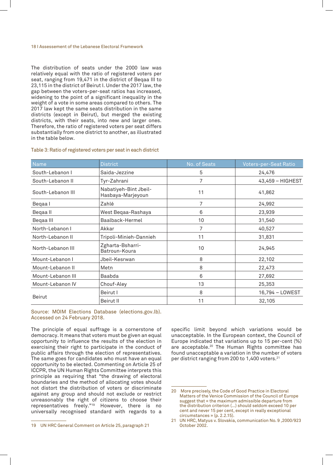#### 18 I Assessement of the Lebanese Electoral Framework

The distribution of seats under the 2000 law was relatively equal with the ratio of registered voters per seat, ranging from 19,471 in the district of Beqaa III to 23,115 in the district of Beirut I. Under the 2017 law, the gap between the voters-per-seat ratios has increased, widening to the point of a significant inequality in the weight of a vote in some areas compared to others. The 2017 law kept the same seats distribution in the same districts (except in Beirut), but merged the existing districts, with their seats, into new and larger ones. Therefore, the ratio of registered voters per seat differs substantially from one district to another, as illustrated in the table below.

#### Table 3: Ratio of registered voters per seat in each district

| Name              | <b>District</b>                            | No. of Seats | Voters-per-Seat Ratio |
|-------------------|--------------------------------------------|--------------|-----------------------|
| South-Lebanon I   | Saida-Jezzine                              | 5            | 24,476                |
| South-Lebanon II  | Tyr-Zahrani                                | 7            | 43,459 - HIGHEST      |
| South-Lebanon III | Nabatiyeh-Bint Jbeil-<br>Hasbaya-Marjeyoun | 11           | 41,862                |
| Begaa I           | Zahlé                                      | 7            | 24,992                |
| Beqaall           | West Beqaa-Rashaya                         | 6            | 23,939                |
| Begaa III         | Baalback-Hermel                            | 10           | 31,540                |
| North-Lebanon I   | Akkar                                      | 7            | 40,527                |
| North-Lebanon II  | Tripoli-Minieh-Dannieh                     | 11           | 31,831                |
| North-Lebanon III | Zgharta-Bsharri-<br>Batroun-Koura          | 10           | 24,945                |
| Mount-Lebanon I   | Jbeil-Kesrwan                              | 8            | 22,102                |
| Mount-Lebanon II  | Metn                                       | 8            | 22,473                |
| Mount-Lebanon III | Baabda                                     | 6            | 27,692                |
| Mount-Lebanon IV  | Chouf-Aley                                 | 13           | 25,353                |
|                   | Beirut I                                   | 8            | 16,794 - LOWEST       |
| <b>Beirut</b>     | Beirut II                                  | 11           | 32,105                |

Source: MOIM Elections Database (elections.gov.lb). Accessed on 24 February 2018.

The principle of equal suffrage is a cornerstone of democracy. It means that voters must be given an equal opportunity to influence the results of the election in exercising their right to participate in the conduct of public affairs through the election of representatives. The same goes for candidates who must have an equal opportunity to be elected. Commenting on Article 25 of ICCPR, the UN Human Rights Committee interprets this principle as requiring that "the drawing of electoral boundaries and the method of allocating votes should not distort the distribution of voters or discriminate against any group and should not exclude or restrict unreasonably the right of citizens to choose their representatives freely."19 However, there is no universally recognised standard with regards to a

specific limit beyond which variations would be unacceptable. In the European context, the Council of Europe indicated that variations up to 15 per-cent (%) are acceptable.20 The Human Rights committee has found unacceptable a variation in the number of voters per district ranging from 200 to 1,400 voters.21

<sup>19</sup> UN HRC General Comment on Article 25, paragraph 21

<sup>20</sup> More precisely, the Code of Good Practice in Electoral Matters of the Venice Commission of the Council of Europe suggest that « the maximum admissible departure from the distribution criterion (…) should seldom exceed 10 per cent and never 15 per cent, except in really exceptional circumstances » (p. 2.2.15).

<sup>21</sup> UN HRC, Matyus v. Slovakia, communication No. 9 ,2000/923 October 2002.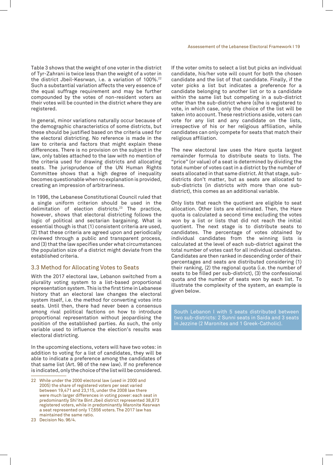Table 3 shows that the weight of one voter in the district of Tyr-Zahrani is twice less than the weight of a voter in the district Jbeil-Kesrwan, i.e. a variation of 100%.<sup>22</sup> Such a substantial variation affects the very essence of the equal suffrage requirement and may be further compounded by the votes of non-resident voters as their votes will be counted in the district where they are registered.

In general, minor variations naturally occur because of the demographic characteristics of some districts, but these should be justified based on the criteria used for the electoral districting. No reference is made in the law to criteria and factors that might explain these differences. There is no provision on the subject in the law, only tables attached to the law with no mention of the criteria used for drawing districts and allocating seats. The jurisprudence of the UN Human Rights Committee shows that a high degree of inequality becomes questionable when no explanation is provided, creating an impression of arbitrariness.

In 1996, the Lebanese Constitutional Council ruled that a single uniform criterion should be used in the delimitation of election districts.23 The practice, however, shows that electoral districting follows the logic of political and sectarian bargaining. What is essential though is that (1) consistent criteria are used, (2) that these criteria are agreed upon and periodically reviewed through a public and transparent process, and (3) that the law specifies under what circumstances the population size of a district might deviate from the established criteria.

#### 3.3 Method for Allocating Votes to Seats

With the 2017 electoral law, Lebanon switched from a plurality voting system to a list-based proportional representation system. This is the first time in Lebanese history that an electoral law changes the electoral system itself, i.e. the method for converting votes into seats. Until then, there had never been a consensus among rival political factions on how to introduce proportional representation without jeopardising the position of the established parties. As such, the only variable used to influence the election's results was electoral districting.

In the upcoming elections, voters will have two votes: in addition to voting for a list of candidates, they will be able to indicate a preference among the candidates of that same list (Art. 98 of the new law). If no preference is indicated, only the choice of the list will be considered.

If the voter omits to select a list but picks an individual candidate, his/her vote will count for both the chosen candidate and the list of that candidate. Finally, if the voter picks a list but indicates a preference for a candidate belonging to another list or to a candidate within the same list but competing in a sub-district other than the sub-district where (s)he is registered to vote, in which case, only the choice of the list will be taken into account. These restrictions aside, voters can vote for any list and any candidate on the lists, irrespective of his or her religious affiliation, while candidates can only compete for seats that match their religious affiliation.

The new electoral law uses the Hare quota largest remainder formula to distribute seats to lists. The "price" (or value) of a seat is determined by dividing the total number of votes cast in a district by the number of seats allocated in that same district. At that stage, subdistricts don't matter, but as seats are allocated to sub-districts (in districts with more than one subdistrict), this comes as an additional variable.

Only lists that reach the quotient are eligible to seat allocation. Other lists are eliminated. Then, the Hare quota is calculated a second time excluding the votes won by a list or lists that did not reach the initial quotient. The next stage is to distribute seats to candidates. The percentage of votes obtained by individual candidates from the winning lists is calculated at the level of each sub-district against the total number of votes cast for all individual candidates. Candidates are then ranked in descending order of their percentages and seats are distributed considering (1) their ranking, (2) the regional quota (i.e. the number of seats to be filled per sub-district), (3) the confessional quota and the number of seats won by each list. To illustrate the complexity of the system, an example is given below.

South Lebanon I with 5 seats distributed between two sub-districts: 2 Sunni seats in Saida and 3 seats in Jezzine (2 Maronites and 1 Greek-Catholic).

<sup>22</sup> While under the 2000 electoral law (used in 2000 and 2005) the share of registered voters per seat varied between 19,471 and 23,115, under the 2008 law there were much larger differences in voting power: each seat in predominantly Shi'ite Bint Jbeil district represented 38,873 registered voters, while in predominantly Maronite Kesrwan a seat represented only 17,656 voters. The 2017 law has maintained the same ratio.

<sup>23</sup> Decision No. 96/4.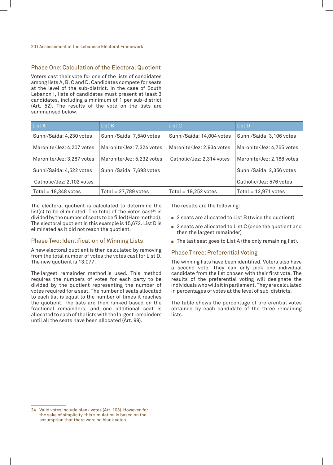#### Phase One: Calculation of the Electoral Quotient

Voters cast their vote for one of the lists of candidates among lists A, B, C and D. Candidates compete for seats at the level of the sub-district. In the case of South Lebanon I, lists of candidates must present at least 3 candidates, including a minimum of 1 per sub-district (Art. 52). The results of the vote on the lists are summarised below.

| List A                    | List B                    | List C                    | List D                    |
|---------------------------|---------------------------|---------------------------|---------------------------|
| Sunni/Saida: 4,230 votes  | Sunni/Saida: 7,540 votes  | Sunni/Saida: 14,004 votes | Sunni/Saida: 3,106 votes  |
| Maronite/Jez: 4,207 votes | Maronite/Jez: 7,324 votes | Maronite/Jez: 2,934 votes | Maronite/Jez: 4,765 votes |
| Maronite/Jez: 3,287 votes | Maronite/Jez: 5,232 votes | Catholic/Jez: 2,314 votes | Maronite/Jez: 2,168 votes |
| Sunni/Saida: 4,522 votes  | Sunni/Saida: 7,693 votes  |                           | Sunni/Saida: 2,356 votes  |
| Catholic/Jez: 2,102 votes |                           |                           | Catholic/Jez: 576 votes   |
| Total = $18,348$ votes    | Total = $27,789$ votes    | Total = $19,252$ votes    | Total = $12,971$ votes    |

The electoral quotient is calculated to determine the list(s) to be eliminated. The total of the votes cast<sup>24</sup> is divided by the number of seats to be filled (Hare method). The electoral quotient in this example is 15,672. List D is eliminated as it did not reach the quotient.

#### Phase Two: Identification of Winning Lists

A new electoral quotient is then calculated by removing from the total number of votes the votes cast for List D. The new quotient is 13,077.

The largest remainder method is used. This method requires the numbers of votes for each party to be divided by the quotient representing the number of votes required for a seat. The number of seats allocated to each list is equal to the number of times it reaches the quotient. The lists are then ranked based on the fractional remainders, and one additional seat is allocated to each of the lists with the largest remainders until all the seats have been allocated (Art. 99).

The results are the following:

- $\blacksquare$  2 seats are allocated to List B (twice the quotient)
- $\blacksquare$  2 seats are allocated to List C (once the quotient and then the largest remainder)
- The last seat goes to List A (the only remaining list).

#### Phase Three: Preferential Voting

The winning lists have been identified. Voters also have a second vote. They can only pick one individual candidate from the list chosen with their first vote. The results of the preferential voting will designate the individuals who will sit in parliament. They are calculated in percentages of votes at the level of sub-districts.

The table shows the percentage of preferential votes obtained by each candidate of the three remaining lists.

<sup>24</sup> Valid votes include blank votes (Art. 103). However, for the sake of simplicity, this simulation is based on the assumption that there were no blank votes.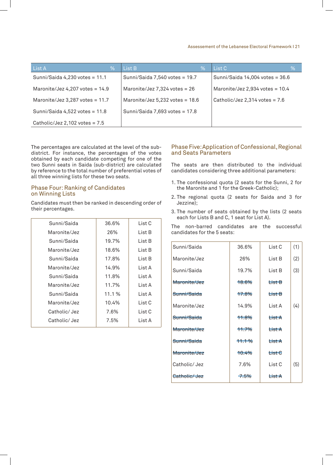#### Assessement of the Lebanese Electoral Framework I 21

| List A<br>%                       | List B<br>%                       | List C<br>%                       |
|-----------------------------------|-----------------------------------|-----------------------------------|
| Sunni/Saida $4,230$ votes = 11.1  | Sunni/Saida 7,540 votes = 19.7    | Sunni/Saida 14,004 votes = 36.6   |
| Maronite/Jez 4,207 votes = $14.9$ | Maronite/Jez 7,324 votes = $26$   | Maronite/Jez 2,934 votes = $10.4$ |
| Maronite/Jez 3,287 votes = $11.7$ | Maronite/Jez $5,232$ votes = 18.6 | Catholic/Jez 2,314 votes = $7.6$  |
| Sunni/Saida 4,522 votes = $11.8$  | Sunni/Saida 7,693 votes = 17.8    |                                   |
| Catholic/Jez 2,102 votes = $7.5$  |                                   |                                   |

The percentages are calculated at the level of the subdistrict. For instance, the percentages of the votes obtained by each candidate competing for one of the two Sunni seats in Saida (sub-district) are calculated by reference to the total number of preferential votes of all three winning lists for these two seats.

#### Phase Four: Ranking of Candidates on Winning Lists

Candidates must then be ranked in descending order of their percentages.

| Sunni/Saida   | 36.6% | List C |
|---------------|-------|--------|
| Maronite/Jez  | 26%   | List B |
| Sunni/Saida   | 19.7% | List B |
| Maronite/Jez  | 18.6% | List B |
| Sunni/Saida   | 17.8% | List B |
| Maronite/Jez  | 14.9% | List A |
| Sunni/Saida   | 11.8% | List A |
| Maronite/Jez  | 11.7% | List A |
| Sunni/Saida   | 11.1% | List A |
| Maronite/Jez  | 10.4% | List C |
| Catholic/ Jez | 7.6%  | List C |
| Catholic/Jez  | 7.5%  | List A |

#### Phase Five: Application of Confessional, Regional and Seats Parameters

The seats are then distributed to the individual candidates considering three additional parameters:

- 1. The confessional quota (2 seats for the Sunni, 2 for the Maronite and 1 for the Greek-Catholic);
- 2. The regional quota (2 seats for Saida and 3 for Jezzine);
- 3. The number of seats obtained by the lists (2 seats each for Lists B and C, 1 seat for List A).

The non-barred candidates are the successful candidates for the 5 seats:

| Sunni/Saida  | 36.6% | List C | (1) |
|--------------|-------|--------|-----|
| Maronite/Jez | 26%   | List B | (2) |
| Sunni/Saida  | 19.7% | List B | (3) |
| Maronite/Jez | 18.6% | List B |     |
| Sunni/Saida  | 17.8% | List B |     |
| Maronite/Jez | 14.9% | List A | (4) |
| Sunni/Saida  | 11.8% | List A |     |
| Maronite/Jez | 11.7% | List A |     |
| Sunni/Saida  | 11.1% | List A |     |
| Maronite/Jez | 10.4% | List C |     |
| Catholic/Jez | 7.6%  | List C | (5) |
| Catholic/Jez | 7.5%  | List A |     |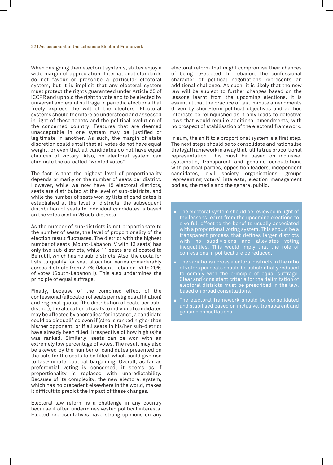#### 22 I Assessement of the Lebanese Electoral Framework

When designing their electoral systems, states enjoy a wide margin of appreciation. International standards do not favour or prescribe a particular electoral system, but it is implicit that any electoral system must protect the rights guaranteed under Article 25 of ICCPR and uphold the right to vote and to be elected by universal and equal suffrage in periodic elections that freely express the will of the electors. Electoral systems should therefore be understood and assessed in light of these tenets and the political evolution of the concerned country. Features that are deemed unacceptable in one system may be justified or legitimate in another. As such, the margin of state discretion could entail that all votes do not have equal weight, or even that all candidates do not have equal chances of victory. Also, no electoral system can eliminate the so-called "wasted votes".

The fact is that the highest level of proportionality depends primarily on the number of seats per district. However, while we now have 15 electoral districts, seats are distributed at the level of sub-districts, and while the number of seats won by lists of candidates is established at the level of districts, the subsequent distribution of seats to individual candidates is based on the votes cast in 26 sub-districts.

As the number of sub-districts is not proportionate to the number of seats, the level of proportionality of the election result fluctuates. The district with the highest number of seats (Mount-Lebanon IV with 13 seats) has only two sub-districts, while 11 seats are allocated to Beirut II, which has no sub-districts. Also, the quota for lists to qualify for seat allocation varies considerably across districts from 7.7% (Mount-Lebanon IV) to 20% of votes (South-Lebanon I). This also undermines the principle of equal suffrage.

Finally, because of the combined effect of the confessional (allocation of seats per religious affiliation) and regional quotas (the distribution of seats per subdistrict), the allocation of seats to individual candidates may be affected by anomalies; for instance, a candidate could be disqualified even if (s)he is ranked higher than his/her opponent, or if all seats in his/her sub-district have already been filled, irrespective of how high (s)he was ranked. Similarly, seats can be won with an extremely low percentage of votes. The result may also be skewed by the number of candidates presented on the lists for the seats to be filled, which could give rise to last-minute political bargaining. Overall, as far as preferential voting is concerned, it seems as if proportionality is replaced with unpredictability. Because of its complexity, the new electoral system, which has no precedent elsewhere in the world, makes it difficult to predict the impact of these changes.

Electoral law reform is a challenge in any country because it often undermines vested political interests. Elected representatives have strong opinions on any

electoral reform that might compromise their chances of being re-elected. In Lebanon, the confessional character of political negotiations represents an additional challenge. As such, it is likely that the new law will be subject to further changes based on the lessons learnt from the upcoming elections. It is essential that the practice of last-minute amendments driven by short-term political objectives and ad hoc interests be relinquished as it only leads to defective laws that would require additional amendments, with no prospect of stabilisation of the electoral framework.

In sum, the shift to a proportional system is a first step. The next steps should be to consolidate and rationalise the legal framework in a way that fulfils true proportional representation. This must be based on inclusive, systematic, transparent and genuine consultations with political parties, opposition leaders, independent candidates, civil society organisations, groups representing voters' interests, election management bodies, the media and the general public.

- The electoral system should be reviewed in light of the lessons learnt from the upcoming elections to give full effect to the benefits usually associated with a proportional voting system. This should be a transparent process that defines larger districts with no subdivisions and alleviates voting inequalities. This would imply that the role of confessions in political life be reduced.
- $\blacksquare$  The variations across electoral districts in the ratio of voters per seats should be substantially reduced to comply with the principle of equal suffrage. Clear and consistent criteria for the delimitation of electoral districts must be prescribed in the law, based on broad consultations.
- The electoral framework should be consolidated and stabilised based on inclusive, transparent and genuine consultations.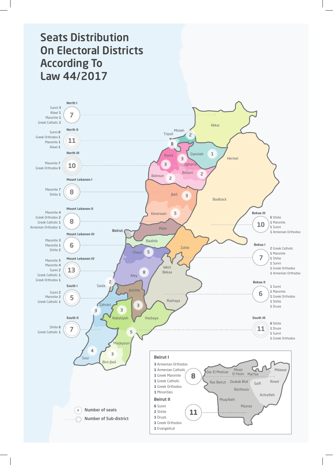# Seats Distribution On Electoral Districts According To Law 44/2017

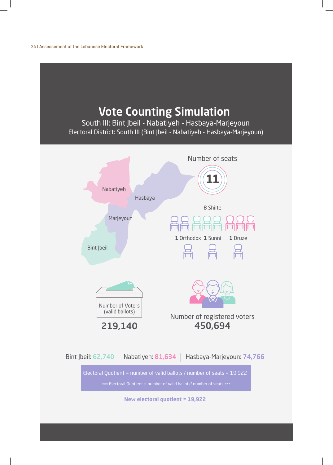24 I Assessement of the Lebanese Electoral Framework

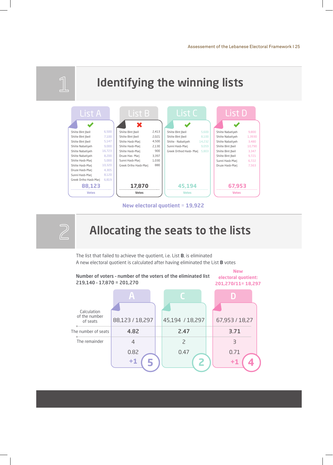

**New electoral quotient** = **19,922** 



The list that failed to achieve the quotient, i.e. List **B**, is eliminated A new electoral quotient is calculated after having eliminated the List **B** votes

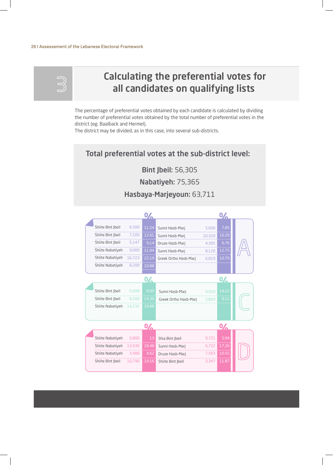#### 26 I Assessement of the Lebanese Electoral Framework

# Calculating the preferential votes for all candidates on qualifying lists

The percentage of preferential votes obtained by each candidate is calculated by dividing the number of preferential votes obtained by the total number of preferential votes in the district (eg. Baalback and Hermel).

The district may be divided, as in this case, into several sub-districts.

## Total preferential votes at the sub-district level:

Bint Jbeil: 56,305

Nabatiyeh: 75,365

## Hasbaya-Marjeyoun: 63,711

|                   |        | 0/    |                       |        |              |  |
|-------------------|--------|-------|-----------------------|--------|--------------|--|
| Shiite Bint  beil | 6,500  | 11.54 | Sunni Hasb-Mari       | 5,000  | 7.85         |  |
| Shiite Bint  beil | 7,100  | 12.61 | Sunni Hasb-Mari       | 10,320 | 16.20        |  |
| Shiite Bint  beil | 5,147  | 9.14  | Druze Hasb-Marj       | 4,305  | 6.76         |  |
| Shiite Nabatiyeh  | 9,000  | 11.94 | Sunni Hasb-Mari       | 8,120  | 12.75        |  |
| Shiite Nabatiyeh  | 16,723 | 22.19 | Greek Ortho Hasb-Mari | 6,819  | 10.70        |  |
| Shiite Nabatiyeh  | 8,200  | 10.88 |                       |        |              |  |
|                   |        |       |                       |        |              |  |
|                   |        | 0/    |                       |        | 0/           |  |
| Shiite Bint Jbeil | 5,600  | 9.95  | Sunni Hasb-Mari       | 9,059  | 14.22        |  |
| Shiite Bint Jbeil | 8,100  | 14.39 | Greek Ortho Hasb-Mari | 5,803  | 9.11         |  |
| Shiite Nabatiyeh  | 14,232 | 18.88 |                       |        |              |  |
|                   |        |       |                       |        |              |  |
|                   |        | 0Z    |                       |        | $\mathbf{0}$ |  |
| Shiite Nabatiyeh  | 9,800  | 13    | Shia Bint  beil       | 9,721  | 5.94         |  |
| Shiite Nabatiyeh  | 13,930 | 18.48 | Sunni Hasb-Mari       | 6,722  | 17.26        |  |
| Shiite Nabatiyeh  | 3,480  | 4.62  | Druze Hasb-Marj       | 7,563  | 10.55        |  |
| Shiite Bint  beil | 10,790 | 19.16 | Shiite Bint  beil     | 3,347  | 11.87        |  |
|                   |        |       |                       |        |              |  |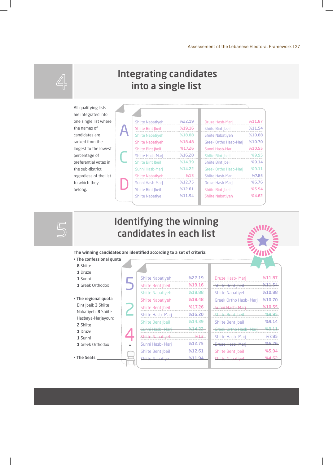

 $5$ 

## Integrating candidates into a single list

All qualifying lists are integrated into one single list where the names of candidates are ranked from the largest to the lowest percentage of preferential votes in the sub-district, regardless of the list to which they belong.

| <b>Shiite Nabativeh</b>  | %22.19 | Druze Hasb-Mari              | %11.87 |
|--------------------------|--------|------------------------------|--------|
| Shiite Bint  beil        | %19.16 | Shiite Bint  beil            | %11.54 |
| <b>Shiite Nabativeh</b>  | %18.88 | <b>Shiite Nabativeh</b>      | %10.88 |
| <b>Shiite Nabativeh</b>  | %18.48 | <b>Greek Ortho Hasb-Mari</b> | %10.70 |
| <b>Shiite Bint Jbeil</b> | %17.26 | Sunni Hasb-Mari              | %10.55 |
| Shiite Hasb-Mari         | %16.20 | <b>Shiite Bint Ibeil</b>     | %9.95  |
| <b>Shiite Bint Ibeil</b> | %14.39 | Shiite Bint  beil            | %9.14  |
| Sunni Hasb-Mari          | %14.22 | <b>Greek Ortho Hasb-Marj</b> | %9.11  |
| <b>Shiite Nabativeh</b>  | %13    | <b>Shiite Hasb-Mar</b>       | %7.85  |
| Sunni Hasb-Mari          | %12.75 | Druze Hasb-Mari              | %6.76  |
| <b>Shiite Bint Ibeil</b> | %12.61 | Shiite Bint  beil            | %5.94  |
| <b>Shiite Nabative</b>   | %11.94 | <b>Shiite Nabativeh</b>      | %4.62  |

# Identifying the winning candidates in each list

**The winning candidates are identified according to a set of criteria:**

- The confessional quota
- **8** Shiite
- **1** Druze
- **1** Sunni
- **1** Greek Orthodox
- The regional quota Bint Jbeil: **3** Shiite Nabatiyeh: **3** Shiite Hasbaya-Marjeyoun: **2** Shiite
- **1** Druze
- **1** Sunni
- **1** Greek Orthodox
- 

• The Seats

| <b>Shiite Nabatiyeh</b>  | %22.19    |
|--------------------------|-----------|
| <b>Shiite Bent Ibeil</b> | %19.16    |
| <b>Shiite Nabatiyeh</b>  | %18.88    |
| <b>Shiite Nabatiyeh</b>  | %18.48    |
| Shiite Bent Jbeil        | %17.26    |
| <b>Shiite Hasb- Marj</b> | %16.20    |
| <b>Shiite Bent  beil</b> | %14.39    |
| <b>Sunni Hasb Mari</b>   | $0/14$ 22 |
| <b>Shiite Nabativeh</b>  | %13       |
| Sunni Hasb- Marj         | %12.75    |
| Shiite Bent Ibeil        | $%12f$ 61 |
| <b>Shiite Nabative</b>   | %1        |
|                          |           |

| Druze Hasb- Marj               | %11.87       |
|--------------------------------|--------------|
| <del>- Shiite Bent Ibeil</del> | %11.54       |
| -Shiite Nabatiyeh              | 0.10.88      |
| <b>Greek Ortho Hasb- Marj</b>  | %10.70       |
| -Sunni Hasb- Mari              | %10.55       |
| <b>Shiite Bent Jbeil</b>       | %9.95        |
| Shiite Bent  beil              | %914         |
| <b>Greek Ortho Hasb Mari</b>   | %9.11        |
| <b>Shiite Hasb- Marj</b>       | %7.85        |
| -Druze Hasb-Mari               | %6.76        |
| -Shiite Bent Jbeil             | <u>%5 94</u> |
| <b>Shiite Nabativeh</b>        | %4 62        |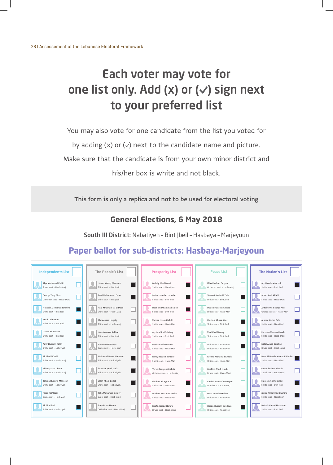# Each voter may vote for one list only. Add (x) or  $(\vee)$  sign next to your preferred list

You may also vote for one candidate from the list you voted for

by adding  $(x)$  or  $(y)$  next to the candidate name and picture.

Make sure that the candidate is from your own minor district and

his/her box is white and not black.

**This form is only a replica and not to be used for electoral voting**

## **General Elections, 6 May 2018**

South III District: Nabatiyeh - Bint Jbeil - Hasbaya - Marjeyoun

## **Paper ballot for sub–districts: Hasbaya–Marjeyoun**

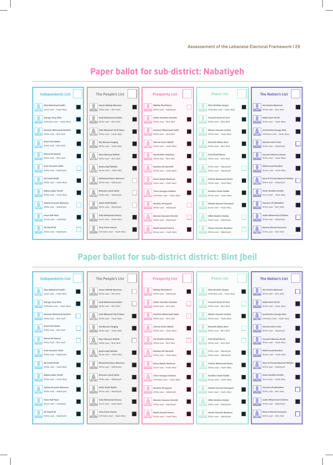

## **Paper ballot for sub-district: Nabatiyeh**

## **Paper ballot for sub-district district: Bint Jbeil**

| <b>Independents List</b>  | <b>The People's List</b>     | <b>Prosperity List</b>       | <b>Peace List</b>            | <b>The Nation's List</b>     |
|---------------------------|------------------------------|------------------------------|------------------------------|------------------------------|
| Alya Mohamad Kadiri       | Hasan Mahdy Mansour          | Mahdy Jihad Bazzi            | Elias Ibrahim Gerges         | Aly Hssein Maatouk           |
| Sunni seat - Hasb-Marj    | Shiite seat - Bint Jbeil     | Shiite seat - Nabatiyeh      | Orthodox seat - Hasb-Marj    | Shiite seat - Bint Jbeil     |
| <b>George Tony Elias</b>  | Saad Mohammed Dafer          | Jaafar Hamdan Hamdan         | Youssef Karim El Zein        | Abdel Amir Ali Ali           |
| Orthodox seat - Hasb-Marj | Shiite seat - Bint Jbeil     | Shiite seat - Bint Jbeil     | Shiite seat - Bint Jbeil     | Shiite seat - Hasb-Marj      |
| Hussein Mohamad Ibrahim   | Hala Mhamad Taj El Deen      | Hachem Mhammad Saleh         | Mazen Hussein Amhaz          | Antoinette George Akel       |
| Shiite seat - Bint Jbeil  | Shiite seat - Hasb-Marj      | Shiite seat - Bint Jbeil     | Shiite seat - Hasb-Marj      | Orthodox seat - Hasb-Mari    |
| Amal Zein Bader           | Aly Moussa Hogeig            | Zahraa Hsein Mahdi           | Mostafa Abbas Atwi           | Ahmad Karim Fahs             |
| Shiite seat - Bint Jbeil  | Shiite seat - Hasb-Marj      | Shiite seat - Hasb-Marj      | Shiite seat - Bint Jbeil     | Shiite seat - Nabatiyeh      |
| Daoud Ali Nasser          | Nour Moussa Rahhal           | Aly Ibrahim Kobeissy         | Ziad Khalil Bazzy            | Hussain Moussa Hareb         |
| Shiite seat - Bint Jbeil  | Shiite seat - Bint Jbeil     | Shiite seat - Bint Jbeil     | Shiite seat - Bint Jbeil     | Shiite seat - Hasb-Marj      |
| Amir Hussein Fakih        | Racha Raef Wehbe             | Reeham Ali Darwish           | Shiite seat - Nabatiyeh      | Nidal Asaad Barakat          |
| Shiite seat - Nabatiyeh   | Druze seat - Hasb-Marj       | Shiite seat - Hasb-Marj      | Shiite seat - Nabatiyeh      | Druze seat - Hasb-Marj       |
| Ali Chadi Khalil          | <b>Mohamad Naser Mansour</b> | Ramy Rabah Shahrour          | <b>Fatime Mohamad Khreis</b> | Nour El Houda Maarouf Wehbe  |
| Shiite seat - Hasb-Marj   | Shiite seat - Nabatiyeh      | Sunni seat - Hasb-Marj       | Shiite seat - Hasb-Marj      | Shiite seat - Nabatiyeh      |
| Abbas Jaafar Chreif       | Ibtissam Jamil Jaafar        | <b>Terez Georges Ghabris</b> | Ibrahim Chadi Halabi         | Omar Ibrahim Khatib          |
| Shiite seat - Hasb-Marj   | Shiite seat - Nabatiyeh      | Orthodox seat - Hasb-Marj    | Druze seat - Hasb-Marj       | Sunni seat - Hasb-Marj       |
| Zahraa Hussein Mansour    | Saleh Khalil Ballot          | Ibrahim Ali Ayyash           | Khaled Youssef Homayed       | Hussein Ali Mokalled         |
| Shiite seat - Nabatiyeh   | Shiite seat - Nabatiyeh      | Shiite seat - Nabatiyeh      | Sunni seat - Hasb-Marj       | Shiite seat - Bint Jbeil     |
| <b>Fares Raif Nasr</b>    | Taha Mohamad Omary           | Mariam Hussein Khreish       | Olfat Ibrahim Haidar         | Jaafar Mhammad Chahine       |
| Druze seat - HasbMarj     | Sunni seat - Hasb-Marj       | Shiite seat - Nabatiyeh      | Shiite seat - Nabatiyeh      | Shiite seat - Nabatiyeh      |
| Ali Sharif Ali            | Tony Fares Hanna             | Raefa Assaad Hamra           | Hasan Hussein Beydoun        | <b>Batoul Ahmad Houssein</b> |
| Shiite seat - Nabatiyeh   | Orthodox seat - Hasb-Marj    | Druze seat - Hasb-Marj       | Shiite seat - Nabatiyeh      | Shiite seat - Bint Jbeil     |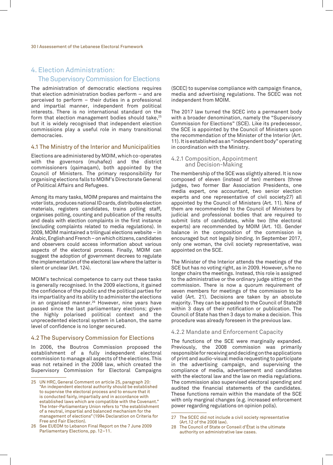## 4. Election Administration: The Supervisory Commission for Elections

The administration of democratic elections requires that election administration bodies perform – and are perceived to perform – their duties in a professional and impartial manner, independent from political interests. There is no international standard on the form that election management bodies should take,<sup>25</sup> but it is widely recognised that independent election commissions play a useful role in many transitional democracies.

#### 4.1 The Ministry of the Interior and Municipalities

Elections are administered by MOIM, which co-operates with the governors (muhafez) and the district commissioners (qaimaqam), both appointed by the Council of Ministers. The primary responsibility for organising elections falls to MOIM's Directorate General of Political Affairs and Refugees.

Among its many tasks, MOIM prepares and maintains the voter lists, produces national ID cards, distributes election materials, registers candidates, trains polling staff, organises polling, counting and publication of the results and deals with election complaints in the first instance (excluding complaints related to media regulations). In 2009, MOIM maintained a trilingual elections website – in Arabic, English and French – on which citizens, candidates and observers could access information about various aspects of the electoral process. Finally, MOIM can suggest the adoption of government decrees to regulate the implementation of the electoral law where the latter is silent or unclear (Art. 124).

MOIM's technical competence to carry out these tasks is generally recognised. In the 2009 elections, it gained the confidence of the public and the political parties for its impartiality and its ability to administer the elections in an organised manner.<sup>26</sup> However, nine years have passed since the last parliamentary elections; given the highly polarised political context and the unprecedented electoral system in Lebanon, the same level of confidence is no longer secured.

#### 4.2 The Supervisory Commission for Elections

In 2006, the Boutros Commission proposed the establishment of a fully independent electoral commission to manage all aspects of the elections. This was not retained in the 2008 law, which created the Supervisory Commission for Electoral Campaigns

(SCEC) to supervise compliance with campaign finance, media and advertising regulations. The SCEC was not independent from MOIM.

The 2017 law turned the SCEC into a permanent body with a broader denomination, namely the "Supervisory Commission for Elections" (SCE). Like its predecessor, the SCE is appointed by the Council of Ministers upon the recommendation of the Minister of the Interior (Art. 11). It is established as an "independent body" operating in coordination with the Ministry.

#### 4.2.1 Composition, Appointment and Decision-Making

The membership of the SCE was slightly altered. It is now composed of eleven (instead of ten) members (three judges, two former Bar Association Presidents, one media expert, one accountant, two senior election experts and one representative of civil society27) all appointed by the Council of Ministers (Art. 11). Nine of them are recommended to the Council of Ministers by judicial and professional bodies that are required to submit lists of candidates, while two (the electoral experts) are recommended by MOIM (Art. 10). Gender balance in the composition of the commission is encouraged but not legally binding. In September 2017, only one woman, the civil society representative, was appointed on the SCE.

The Minister of the Interior attends the meetings of the SCE but has no voting right, as in 2009. However, s/he no longer chairs the meetings. Instead, this role is assigned to the administrative or the ordinary judge sitting on the commission. There is now a quorum requirement of seven members for meetings of the commission to be valid (Art. 21). Decisions are taken by an absolute majority. They can be appealed to the Council of State28 within 3 days of their notification or publication. The Council of State has then 3 days to make a decision. This procedure was already foreseen in the previous law.

#### 4.2.2 Mandate and Enforcement Capacity

The functions of the SCE were marginally expanded. Previously, the 2008 commission was primarily responsible for receiving and deciding on the applications of print and audio-visual media requesting to participate in the advertising campaign, and supervising the compliance of media, advertisement and candidates with the electoral law and the law on media regulations. The commission also supervised electoral spending and audited the financial statements of the candidates. These functions remain within the mandate of the SCE with only marginal changes (e.g. increased enforcement power regarding regulations on opinion polls).

<sup>25</sup> UN HRC, General Comment on article 25, paragraph 20: "An independent electoral authority should be established to supervise the electoral process and to ensure that it is conducted fairly, impartially and in accordance with established laws which are compatible with the Covenant." The Inter-Parliamentary Union refers to "the establishment of a neutral, impartial and balanced mechanism for the management of elections" (1994 Declaration on Criteria for Free and Fair Election).

<sup>26</sup> See EUEOM to Lebanon Final Report on the 7 June 2009 Parliamentary Elections, pp. 12–11.

<sup>27</sup> The SCEC did not include a civil society representative (Art.12 of the 2008 law).

<sup>28</sup> The Council of State or Conseil d'État is the ultimate authority on administrative law cases.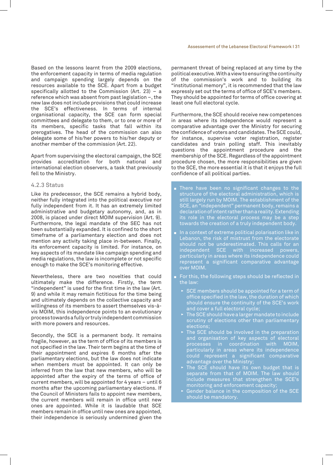Based on the lessons learnt from the 2009 elections, the enforcement capacity in terms of media regulation and campaign spending largely depends on the resources available to the SCE. Apart from a budget specifically allotted to the Commission (Art. 23) – a reference which was absent from past legislation –, the new law does not include provisions that could increase the SCE's effectiveness. In terms of internal organisational capacity, the SCE can form special committees and delegate to them, or to one or more of its members, specific tasks that fall within its prerogatives. The head of the commission can also delegate some of his/her powers to his/her deputy or another member of the commission (Art. 22).

Apart from supervising the electoral campaign, the SCE provides accreditation for both national and international election observers, a task that previously fell to the Ministry.

#### 4.2.3 Status

Like its predecessor, the SCE remains a hybrid body, neither fully integrated into the political executive nor fully independent from it. It has an extremely limited administrative and budgetary autonomy, and, as in 2008, is placed under direct MOIM supervision (Art. 9). Furthermore, the legal mandate of the SEC has not been substantially expanded. It is confined to the short timeframe of a parliamentary election and does not mention any activity taking place in-between. Finally, its enforcement capacity is limited. For instance, on key aspects of its mandate like campaign spending and media regulations, the law is incomplete or not specific enough to make the SCE's monitoring effective.

Nevertheless, there are two novelties that could ultimately make the difference. Firstly, the term "independent" is used for the first time in the law (Art. 9) and while it may remain fictitious for the time being and ultimately depends on the collective capacity and willingness of its members to assert themselves vis-àvis MOIM, this independence points to an evolutionary process towards a fully or truly independent commission with more powers and resources.

Secondly, the SCE is a permanent body. It remains fragile, however, as the term of office of its members is not specified in the law. Their term begins at the time of their appointment and expires 6 months after the parliamentary elections, but the law does not indicate when members must be appointed. It can only be inferred from the law that new members, who will be appointed after the expiry of the terms of office of current members, will be appointed for 4 years – until 6 months after the upcoming parliamentary elections. If the Council of Ministers fails to appoint new members, the current members will remain in office until new ones are appointed. While it is laudable that SCE members remain in office until new ones are appointed, their independence is seriously undermined given the

permanent threat of being replaced at any time by the political executive. With a view to ensuring the continuity of the commission's work and to building its "institutional memory", it is recommended that the law expressly set out the terms of office of SCE's members. They should be appointed for terms of office covering at least one full electoral cycle.

Furthermore, the SCE should receive new competences in areas where its independence would represent a comparative advantage over the Ministry for securing the confidence of voters and candidates. The SCE could, for instance, supervise voter registration, register candidates and train polling staff. This inevitably questions the appointment procedure and the membership of the SCE. Regardless of the appointment procedure chosen, the more responsibilities are given to the SCE, the more essential it is that it enjoys the full confidence of all political parties.

- There have been no significant changes to the structure of the electoral administration, which is still largely run by MOIM. The establishment of the SCE, an "independent" permanent body, remains a declaration of intent rather than a reality. Extending its role in the electoral process may be a step towards the creation of a truly independent body.
- In a context of extreme political polarisation like in Lebanon, the risk of mistrust from the electorate should not be underestimated. This calls for an independent SCE with increased powers, particularly in areas where its independence could represent a significant comparative advantage over MOIM.
- For this, the following steps should be reflected in the law:
	- ▸ SCE members should be appointed for a term of office specified in the law, the duration of which should ensure the continuity of the SCE's work and cover a full electoral cycle;
	- The SCE should have a larger mandate to include scrutiny of elections other than parliamentary elections;
	- ▶ The SCE should be involved in the preparation and organisation of key aspects of electoral processes in coordination with MOIM, particularly in areas where its independence could represent a significant comparative advantage over the Ministry;
	- ▸ The SCE should have its own budget that is separate from that of MOIM. The law should include measures that strengthen the SCE's monitoring and enforcement capacity;
	- Gender balance in the composition of the SCE should be mandatory.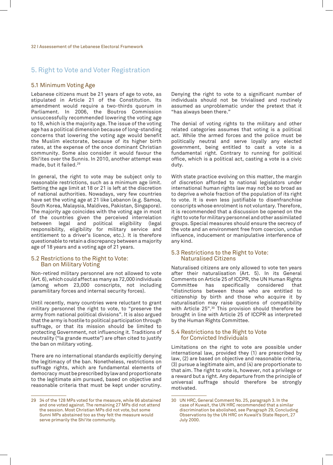### 5. Right to Vote and Voter Registration

#### 5.1 Minimum Voting Age

Lebanese citizens must be 21 years of age to vote, as stipulated in Article 21 of the Constitution. Its amendment would require a two-thirds quorum in Parliament. In 2006, the Boutros Commission unsuccessfully recommended lowering the voting age to 18, which is the majority age. The issue of the voting age has a political dimension because of long-standing concerns that lowering the voting age would benefit the Muslim electorate, because of its higher birth rates, at the expense of the once dominant Christian community. Some also consider it would favour the Shi'ites over the Sunnis. In 2010, another attempt was made, but it failed.29

In general, the right to vote may be subject only to reasonable restrictions, such as a minimum age limit. Setting the age limit at 18 or 21 is left at the discretion of national authorities. Nowadays, very few countries have set the voting age at 21 like Lebanon (e.g. Samoa, South Korea, Malaysia, Maldives, Pakistan, Singapore). The majority age coincides with the voting age in most of the countries given the perceived interrelation between legal and political eligibility (legal responsibility, eligibility for military service and entitlement to a driver's licence, etc.). It is therefore questionable to retain a discrepancy between a majority age of 18 years and a voting age of 21 years.

#### 5.2 Restrictions to the Right to Vote: Ban on Military Voting

Non-retired military personnel are not allowed to vote (Art. 6), which could affect as many as 72,000 individuals (among whom 23,000 conscripts, not including paramilitary forces and internal security forces).

Until recently, many countries were reluctant to grant military personnel the right to vote, to "preserve the army from national political divisions". It is also argued that the army is hostile to political participation through suffrage, or that its mission should be limited to protecting Government, not influencing it. Traditions of neutrality ("la grande muette") are often cited to justify the ban on military voting.

There are no international standards explicitly denying the legitimacy of the ban. Nonetheless, restrictions on suffrage rights, which are fundamental elements of democracy must be prescribed by law and proportionate to the legitimate aim pursued, based on objective and reasonable criteria that must be kept under scrutiny.

Denying the right to vote to a significant number of individuals should not be trivialised and routinely assumed as unproblematic under the pretext that it "has always been there."

The denial of voting rights to the military and other related categories assumes that voting is a political act. While the armed forces and the police must be politically neutral and serve loyally any elected government, being entitled to cast a vote is a fundamental right. Contrary to running for political office, which is a political act, casting a vote is a civic duty.

With state practice evolving on this matter, the margin of discretion afforded to national legislators under international human rights law may not be so broad as to deprive a whole fraction of the population of its right to vote. It is even less justifiable to disenfranchise conscripts whose enrolment is not voluntary. Therefore, it is recommended that a discussion be opened on the right to vote for military personnel and other assimilated groups. Special measures should ensure the secrecy of the vote and an environment free from coercion, undue influence, inducement or manipulative interference of any kind.

#### 5.3 Restrictions to the Right to Vote: Naturalised Citizens

Naturalised citizens are only allowed to vote ten years after their naturalisation (Art. 5). In its General Comments on Article 25 of ICCPR, the UN Human Rights Committee has specifically considered that "distinctions between those who are entitled to citizenship by birth and those who acquire it by naturalisation may raise questions of compatibility with Article 25".30 This provision should therefore be brought in line with Article 25 of ICCPR as interpreted by the Human Rights Committee.

#### 5.4 Restrictions to the Right to Vote for Convicted Individuals

Limitations on the right to vote are possible under international law, provided they (1) are prescribed by law, (2) are based on objective and reasonable criteria, (3) pursue a legitimate aim, and (4) are proportionate to that aim. The right to vote is, however, not a privilege or a reward but a right. Any departure from the principle of universal suffrage should therefore be strongly motivated.

<sup>29</sup> 34 of the 128 MPs voted for the measure, while 66 abstained and one voted against. The remaining 27 MPs did not attend the session. Most Christian MPs did not vote, but some Sunni MPs abstained too as they felt the measure would serve primarily the Shi'ite community.

<sup>30</sup> UN HRC, General Comment No. 25, paragraph 3. In the case of Kuwait, the UN HRC recommended that a similar discrimination be abolished, see Paragraph 29, Concluding Observations by the UN HRC on Kuwait's State Report, 27 July 2000.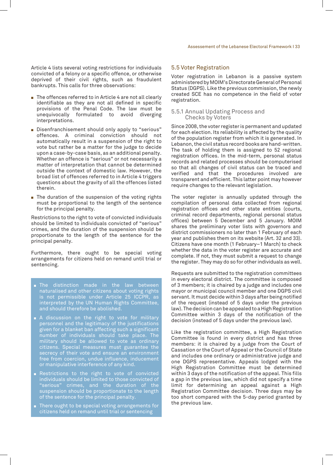Article 4 lists several voting restrictions for individuals convicted of a felony or a specific offence, or otherwise deprived of their civil rights, such as fraudulent bankrupts. This calls for three observations:

- $\blacksquare$  The offences referred to in Article 4 are not all clearly identifiable as they are not all defined in specific provisions of the Penal Code. The law must be unequivocally formulated to avoid diverging interpretations.
- **EXECT:** Disenfranchisement should only apply to "serious" offences. A criminal conviction should not automatically result in a suspension of the right to vote but rather be a matter for the judge to decide upon a case-by-case basis, as an additional penalty. Whether an offence is "serious" or not necessarily a matter of interpretation that cannot be determined outside the context of domestic law. However, the broad list of offences referred to in Article 4 triggers questions about the gravity of all the offences listed therein.
- $\blacksquare$  The duration of the suspension of the voting rights must be proportional to the length of the sentence for the principal penalty.

Restrictions to the right to vote of convicted individuals should be limited to individuals convicted of "serious" crimes, and the duration of the suspension should be proportionate to the length of the sentence for the principal penalty.

Furthermore, there ought to be special voting arrangements for citizens held on remand until trial or sentencing.

- $\blacksquare$  The distinction made in the law between naturalised and other citizens about voting rights is not permissible under Article 25 ICCPR, as interpreted by the UN Human Rights Committee, and should therefore be abolished.
- $\blacksquare$  A discussion on the right to vote for military personnel and the legitimacy of the justifications given for a blanket ban affecting such a significant number of individuals should take place. The military should be allowed to vote as ordinary citizens. Special measures must guarantee the secrecy of their vote and ensure an environment free from coercion, undue influence, inducement or manipulative interference of any kind.
- **Restrictions to the right to vote of convicted** individuals should be limited to those convicted of "serious" crimes, and the duration of the suspension should be proportionate to the length of the sentence for the principal penalty.
- There ought to be special voting arrangements for citizens held on remand until trial or sentencing

#### 5.5 Voter Registration

Voter registration in Lebanon is a passive system administered by MOIM's Directorate General of Personal Status (DGPS). Like the previous commission, the newly created SCE has no competence in the field of voter registration.

#### 5.5.1 Annual Updating Process and Checks by Voters

Since 2008, the voter register is permanent and updated for each election. Its reliability is affected by the quality of the population register from which it is generated. In Lebanon, the civil status record books are hand-written. The task of holding them is assigned to 52 regional registration offices. In the mid-term, personal status records and related processes should be computerised so that all changes of civil status can be traced and verified and that the procedures involved are transparent and efficient. This latter point may however require changes to the relevant legislation.

The voter register is annually updated through the compilation of personal data collected from regional registration offices and other state entities (courts, criminal record departments, regional personal status offices) between 5 December and 5 January. MOIM shares the preliminary voter lists with governors and district commissioners no later than 1 February of each year and publishes them on its website (Art. 32 and 33). Citizens have one month (1 February–1 March) to check whether the data in the voter register are accurate and complete. If not, they must submit a request to change the register. They may do so for other individuals as well.

Requests are submitted to the registration committees in every electoral district. The committee is composed of 3 members; it is chaired by a judge and includes one mayor or municipal council member and one DGPS civil servant. It must decide within 3 days after being notified of the request (instead of 5 days under the previous law). The decision can be appealed to a High Registration Committee within 3 days of the notification of the decision (instead of 5 days under the previous law).

Like the registration committee, a High Registration Committee is found in every district and has three members: it is chaired by a judge from the Court of Cassation or the Court of Appeal or the Council of State and includes one ordinary or administrative judge and one DGPS representative. Appeals lodged with the High Registration Committee must be determined within 3 days of the notification of the appeal. This fills a gap in the previous law, which did not specify a time limit for determining an appeal against a High Registration Committee decision. Three days may be too short compared with the 5-day period granted by the previous law.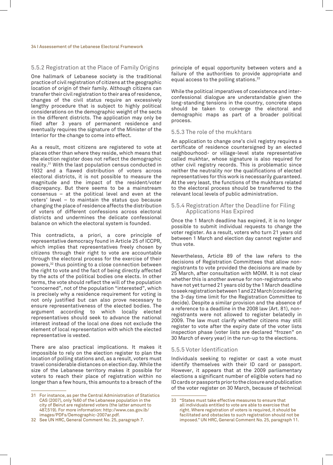#### 5.5.2 Registration at the Place of Family Origins

One hallmark of Lebanese society is the traditional practice of civil registration of citizens at the geographic location of origin of their family. Although citizens can transfer their civil registration to their area of residence, changes of the civil status require an excessively lengthy procedure that is subject to highly political considerations on the demographic weight of the sects in the different districts. The application may only be filed after 3 years of permanent residence and eventually requires the signature of the Minister of the Interior for the change to come into effect.

As a result, most citizens are registered to vote at places other than where they reside, which means that the election register does not reflect the demographic reality.31 With the last population census conducted in 1932 and a flawed distribution of voters across electoral districts, it is not possible to measure the magnitude and the impact of the resident/voter discrepancy. But there seems to be a mainstream consensus – at the political level and even at the voters' level – to maintain the status quo because changing the place of residence affects the distribution of voters of different confessions across electoral districts and undermines the delicate confessional balance on which the electoral system is founded.

This contradicts, a priori, a core principle of representative democracy found in Article 25 of ICCPR, which implies that representatives freely chosen by citizens through their right to vote are accountable through the electoral process for the exercise of their powers,32 thus pointing to a close connection between the right to vote and the fact of being directly affected by the acts of the political bodies one elects. In other terms, the vote should reflect the will of the population "concerned", not of the population "interested", which is precisely why a residence requirement for voting is not only justified but can also prove necessary to ensure representativeness of the elected bodies. The argument according to which locally elected representatives should seek to advance the national interest instead of the local one does not exclude the element of local representation with which the elected representative is vested.

There are also practical implications. It makes it impossible to rely on the election register to plan the location of polling stations and, as a result, voters must travel considerable distances on election day. While the size of the Lebanese territory makes it possible for voters to reach their place of registration within no longer than a few hours, this amounts to a breach of the

principle of equal opportunity between voters and a failure of the authorities to provide appropriate and equal access to the polling stations.<sup>33</sup>

While the political imperatives of coexistence and interconfessional dialogue are understandable given the long-standing tensions in the country, concrete steps should be taken to converge the electoral and demographic maps as part of a broader political process.

#### 5.5.3 The role of the mukhtars

An application to change one's civil registry requires a certificate of residence countersigned by an elected neighbourhood- or village-level state representative called mukhtar, whose signature is also required for other civil registry records. This is problematic since neither the neutrality nor the qualifications of elected representatives for this work is necessarily guaranteed. At the very least, the functions of the mukhtars related to the electoral process should be transferred to the relevant local levels of public administration.

#### 5.5.4 Registration After the Deadline for Filing Applications Has Expired

Once the 1 March deadline has expired, it is no longer possible to submit individual requests to change the voter register. As a result, voters who turn 21 years old between 1 March and election day cannot register and thus vote.

Nevertheless, Article 89 of the law refers to the decisions of Registration Committees that allow nonregistrants to vote provided the decisions are made by 25 March, after consultation with MOIM. It is not clear whether this is another avenue for non-registrants who have not yet turned 21 years old by the 1 March deadline to seek registration between 1 and 22 March (considering the 3-day time limit for the Registration Committee to decide). Despite a similar provision and the absence of a reference to a deadline in the 2008 law (Art. 81), nonregistrants were not allowed to register belatedly in 2009. The law must clarify whether citizens may still register to vote after the expiry date of the voter lists inspection phase (voter lists are declared "frozen" on 30 March of every year) in the run-up to the elections.

#### 5.5.5 Voter Identification

Individuals seeking to register or cast a vote must identify themselves with their ID card or passport. However, it appears that at the 2009 parliamentary elections a significant number of eligible voters had no ID cards or passports prior to the closure and publication of the voter register on 30 March, because of technical

<sup>31</sup> For instance, as per the Central Administration of Statistics CAS (2007), only %60 of the Lebanese population in the city of Beirut are registered voters (the latter amount to 487,519). For more information: http://www.cas.gov.lb/ images/PDFs/Demographic-2007ar.pdf.

<sup>32</sup> See UN HRC, General Comment No. 25, paragraph 7.

<sup>33</sup> "States must take effective measures to ensure that all individuals entitled to vote are able to exercise that right. Where registration of voters is required, it should be facilitated and obstacles to such registration should not be imposed." UN HRC, General Comment No. 25, paragraph 11.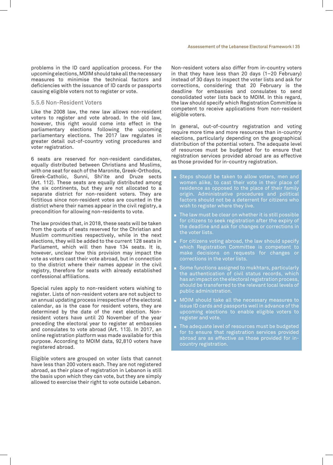problems in the ID card application process. For the upcoming elections, MOIM should take all the necessary measures to minimise the technical factors and deficiencies with the issuance of ID cards or passports causing eligible voters not to register or vote.

#### 5.5.6 Non-Resident Voters

Like the 2008 law, the new law allows non-resident voters to register and vote abroad. In the old law, however, this right would come into effect in the parliamentary elections following the upcoming parliamentary elections. The 2017 law regulates in greater detail out-of-country voting procedures and voter registration.

6 seats are reserved for non-resident candidates, equally distributed between Christians and Muslims, with one seat for each of the Maronite, Greek-Orthodox, Greek-Catholic, Sunni, Shi'ite and Druze sects (Art. 112). These seats are equally distributed among the six continents, but they are not allocated to a separate district for non-resident voters. They are fictitious since non-resident votes are counted in the district where their names appear in the civil registry, a precondition for allowing non-residents to vote.

The law provides that, in 2018, these seats will be taken from the quota of seats reserved for the Christian and Muslim communities respectively, while in the next elections, they will be added to the current 128 seats in Parliament, which will then have 134 seats. It is, however, unclear how this provision may impact the vote as voters cast their vote abroad, but in connection to the district where their names appear in the civil registry, therefore for seats with already established confessional affiliations.

Special rules apply to non-resident voters wishing to register. Lists of non-resident voters are not subject to an annual updating process irrespective of the electoral calendar, as is the case for resident voters, they are determined by the date of the next election. Nonresident voters have until 20 November of the year preceding the electoral year to register at embassies and consulates to vote abroad (Art. 113). In 2017, an online registration platform was made available for this purpose. According to MOIM data, 92,810 voters have registered abroad.

Eligible voters are grouped on voter lists that cannot have less than 200 voters each. They are not registered abroad, as their place of registration in Lebanon is still the basis upon which they can vote, but they are simply allowed to exercise their right to vote outside Lebanon.

Non-resident voters also differ from in-country voters in that they have less than 20 days (1–20 February) instead of 30 days to inspect the voter lists and ask for corrections, considering that 20 February is the deadline for embassies and consulates to send consolidated voter lists back to MOIM. In this regard, the law should specify which Registration Committee is competent to receive applications from non-resident eligible voters.

In general, out-of-country registration and voting require more time and more resources than in-country elections, particularly depending on the geographical distribution of the potential voters. The adequate level of resources must be budgeted for to ensure that registration services provided abroad are as effective as those provided for in-country registration.

- $\textcolor{red}{\bullet}$  Steps should be taken to allow voters, men and women alike, to cast their vote in their place of residence as opposed to the place of their family origin. Administrative procedures and political factors should not be a deterrent for citizens who wish to register where they live.
- $\blacksquare$  The law must be clear on whether it is still possible for citizens to seek registration after the expiry of the deadline and ask for changes or corrections in the voter lists.
- For citizens voting abroad, the law should specify which Registration Committee is competent to make decisions on requests for changes or corrections in the voter lists.
- Some functions assigned to mukhtars, particularly the authentication of civil status records, which has an impact on the electoral registration process, should be transferred to the relevant local levels of public administration.
- $\blacksquare$  MOIM should take all the necessary measures to issue ID cards and passports well in advance of the upcoming elections to enable eligible voters to register and vote.
- $\blacksquare$  The adequate level of resources must be budgeted for to ensure that registration services provided abroad are as effective as those provided for incountry registration.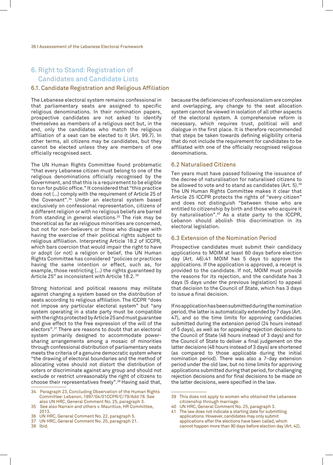## 6. Right to Stand: Registration of Candidates and Candidate Lists

#### 6.1. Candidate Registration and Religious Affiliation

The Lebanese electoral system remains confessional in that parliamentary seats are assigned to specific religious denominations. In their nomination papers, prospective candidates are not asked to identify themselves as members of a religious sect but, in the end, only the candidates who match the religious affiliation of a seat can be elected to it (Art. 99.7). In other terms, all citizens may be candidates, but they cannot be elected unless they are members of one officially recognised sect.

The UN Human Rights Committee found problematic "that every Lebanese citizen must belong to one of the religious denominations officially recognised by the Government, and that this is a requirement to be eligible to run for public office." It considered that "this practice does not (…) comply with the requirement of Article 25 of the Covenant".34 Under an electoral system based exclusively on confessional representation, citizens of a different religion or with no religious beliefs are barred from standing in general elections.<sup>35</sup> The risk may be theoretical as far as religious minorities are concerned, but not for non-believers or those who disagree with having the exercise of their political rights subject to religious affiliation. Interpreting Article 18.2 of ICCPR, which bars coercion that would impair the right to have or adopt (or not) a religion or belief, the UN Human Rights Committee has considered "policies or practices having the same intention or effect, such as, for example, those restricting (…) the rights guaranteed by Article 25" as inconsistent with Article 18.2. <sup>36</sup>

Strong historical and political reasons may militate against changing a system based on the distribution of seats according to religious affiliation. The ICCPR "does not impose any particular electoral system" but "any system operating in a state party must be compatible with the rights protected by Article 25 and must guarantee and give effect to the free expression of the will of the electors".37 There are reasons to doubt that an electoral system primarily designed to accommodate powersharing arrangements among a mosaic of minorities through confessional distribution of parliamentary seats meets the criteria of a genuine democratic system where "the drawing of electoral boundaries and the method of allocating votes should not distort the distribution of voters or discriminate against any group and should not exclude or restrict unreasonably the right of citizens to choose their representatives freely".38 Having said that,

- 34 Paragraph 23, Concluding Observation of the Human Rights Committee: Lebanon, 1997/04/01CCPR/C/79/Add 78. See also UN HRC, General Comment No. 25, paragraph 3.
- 35 See also Narrain and others v. Mauritius, HR Committee, 2013.
- 36 UN HRC, General Comment No. 22, paragraph 5.
- 37 UN HRC, General Comment No. 25, paragraph 21.
- 38 Ibid.

because the deficiencies of confessionalism are complex and overlapping, any change to the seat allocation system cannot be viewed in isolation of all other aspects of the electoral system. A comprehensive reform is necessary, which requires trust, political will and dialogue in the first place. It is therefore recommended that steps be taken towards defining eligibility criteria that do not include the requirement for candidates to be affiliated with one of the officially recognised religious denominations.

#### 6.2 Naturalised Citizens

Ten years must have passed following the issuance of the decree of naturalisation for naturalised citizens to be allowed to vote and to stand as candidates (Art. 5).39 The UN Human Rights Committee makes it clear that Article 25 ICCPR protects the rights of "every citizen" and does not distinguish "between those who are entitled to citizenship by birth and those who acquire it by naturalisation".<sup>40</sup> As a state party to the ICCPR, Lebanon should abolish this discrimination in its electoral legislation.

#### 6.3 Extension of the Nomination Period

Prospective candidates must submit their candidacy applications to MOIM at least 60 days before election day (Art. 46).41 MOIM has 5 days to approve the applications. If the application is approved, a receipt is provided to the candidate. If not, MOIM must provide the reasons for its rejection, and the candidate has 3 days (5 days under the previous legislation) to appeal that decision to the Council of State, which has 3 days to issue a final decision.

If no application has been submitted during the nomination period, the latter is automatically extended by 7 days (Art. 47), and so the time limits for approving candidacies submitted during the extension period (24 hours instead of 5 days), as well as for appealing rejection decisions to the Council of State (48 hours instead of 3 days) and for the Council of State to deliver a final judgement on the latter decisions (48 hours instead of 3 days) are shortened (as compared to those applicable during the initial nomination period). There was also a 7-day extension period under the old law, but no time limits for approving applications submitted during that period, for challenging rejection decisions and for final decisions to be made on the latter decisions, were specified in the law.

- 40 UN HRC, General Comment No. 25, paragraph 3.
- 41 The law does not indicate a starting date for submitting applications. However, candidates may only submit applications after the elections have been called, which cannot happen more than 90 days before election day (Art. 42).

<sup>39</sup> This does not apply to women who obtained the Lebanese citizenship through marriage.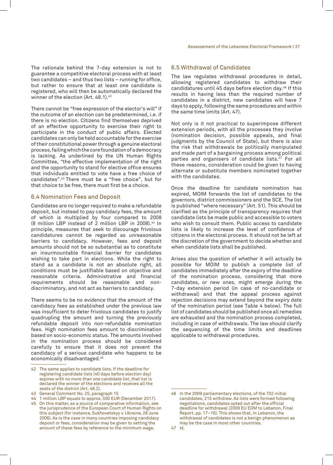The rationale behind the 7-day extension is not to guarantee a competitive electoral process with at least two candidates – and thus two lists – running for office, but rather to ensure that at least one candidate is registered, who will then be automatically declared the winner of the election (Art. 48.1).<sup>42</sup>

There cannot be "free expression of the elector's will" if the outcome of an election can be predetermined, i.e. if there is no election. Citizens find themselves deprived of an effective opportunity to exercise their right to participate in the conduct of public affairs. Elected candidates can only be held accountable for the exercise of their constitutional power through a genuine electoral process, failing which the core foundation of a democracy is lacking. As underlined by the UN Human Rights Committee, "the effective implementation of the right and the opportunity to stand for elective office ensures that individuals entitled to vote have a free choice of candidates".43 There must be a "free choice", but for that choice to be free, there must first be a choice.

#### 6.4 Nomination Fees and Deposit

Candidates are no longer required to make a refundable deposit, but instead to pay candidacy fees, the amount of which is multiplied by four compared to 2008 (8 million LBP instead of 2 million LBP in 2008).<sup>44</sup> In principle, measures that seek to discourage frivolous candidatures cannot be regarded as unreasonable barriers to candidacy. However, fees and deposit amounts should not be so substantial as to constitute an insurmountable financial barrier for candidates wishing to take part in elections. While the right to stand as a candidate is not an absolute right, all conditions must be justifiable based on objective and reasonable criteria. Administrative and financial requirements should be reasonable and nondiscriminatory, and not act as barriers to candidacy.

There seems to be no evidence that the amount of the candidacy fees as established under the previous law was insufficient to deter frivolous candidates to justify quadrupling the amount and turning the previously refundable deposit into non-refundable nomination fees. High nomination fees amount to discrimination based on socio-economic status. The amounts involved in the nomination process should be considered carefully to ensure that it does not prevent the candidacy of a serious candidate who happens to be economically disadvantaged.45

#### 6.5 Withdrawal of Candidates

The law regulates withdrawal procedures in detail, allowing registered candidates to withdraw their candidatures until 45 days before election day.46 If this results in having less than the required number of candidates in a district, new candidates will have 7 days to apply, following the same procedures and within the same time limits (Art. 47).

Not only is it not practical to superimpose different extension periods, with all the processes they involve (nomination decision, possible appeals, and final judgments by the Council of State), but there is also the risk that withdrawals be politically manipulated and made part of a bargaining process among political parties and organisers of candidate lists.<sup>47</sup> For all these reasons, consideration could be given to having alternate or substitute members nominated together with the candidates.

Once the deadline for candidate nomination has expired, MOIM forwards the list of candidates to the governors, district commissioners and the SCE. The list is published "where necessary" (Art. 51). This should be clarified as the principle of transparency requires that candidate lists be made public and accessible to voters who wish to consult them. Public access to candidate lists is likely to increase the level of confidence of citizens in the electoral process. It should not be left at the discretion of the government to decide whether and when candidate lists shall be published.

Arises also the question of whether it will actually be possible for MOIM to publish a complete list of candidates immediately after the expiry of the deadline of the nomination process, considering that more candidates, or new ones, might emerge during the 7-day extension period (in case of no-candidate or withdrawal) and that the appeal process against rejection decisions may extend beyond the expiry date of the nomination period (see Table 4 below). The full list of candidates should be published once all remedies are exhausted and the nomination process completed, including in case of withdrawals. The law should clarify the sequencing of the time limits and deadlines applicable to withdrawal procedures.

<sup>42</sup> The same applies to candidate lists. If the deadline for registering candidate lists (40 days before election day) expires with no more than one candidate list, that list is declared the winner of the elections and receives all the seats of the district (Art. 48.2).

<sup>43</sup> General Comment No. 25, paragraph 15

<sup>44</sup> 1 million LBP equals to approx. 550 EUR (December 2017).

<sup>45</sup> On this matter, as a source of comparative information, see the jurisprudence of the European Court of Human Rights on this subject (for instance, Sukhovetskyy v. Ukraine, 28 June 2006). As is the case in many countries imposing candidacy deposit or fees, consideration may be given to setting the amount of these fees by reference to the minimum wage.

<sup>46</sup> In the 2009 parliamentary elections, of the 702 initial candidates, 215 withdrew. As lists were formed following negotiations, candidates opted out after the official deadline for withdrawal (2009 EU EOM to Lebanon, Final Report, pp. 17–16). This shows that, in Lebanon, the withdrawal of candidates is not a benign phenomenon as may be the case in most other countries.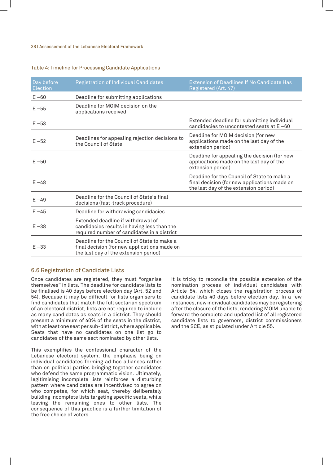#### 38 I Assessement of the Lebanese Electoral Framework

#### Table 4: Timeline for Processing Candidate Applications

| Day before<br>Election | <b>Registration of Individual Candidates</b>                                                                                         | <b>Extension of Deadlines If No Candidate Has</b><br>Registered (Art. 47)                                                            |
|------------------------|--------------------------------------------------------------------------------------------------------------------------------------|--------------------------------------------------------------------------------------------------------------------------------------|
| $E - 60$               | Deadline for submitting applications                                                                                                 |                                                                                                                                      |
| $E - 55$               | Deadline for MOIM decision on the<br>applications received                                                                           |                                                                                                                                      |
| $E - 53$               |                                                                                                                                      | Extended deadline for submitting individual<br>candidacies to uncontested seats at E-60                                              |
| $E - 52$               | Deadlines for appealing rejection decisions to<br>the Council of State                                                               | Deadline for MOIM decision (for new<br>applications made on the last day of the<br>extension period)                                 |
| $E - 50$               |                                                                                                                                      | Deadline for appealing the decision (for new<br>applications made on the last day of the<br>extension period)                        |
| $E - 48$               |                                                                                                                                      | Deadline for the Council of State to make a<br>final decision (for new applications made on<br>the last day of the extension period) |
| $E - 49$               | Deadline for the Council of State's final<br>decisions (fast-track procedure)                                                        |                                                                                                                                      |
| $E - 45$               | Deadline for withdrawing candidacies                                                                                                 |                                                                                                                                      |
| $E - 38$               | Extended deadline if withdrawal of<br>candidacies results in having less than the<br>required number of candidates in a district     |                                                                                                                                      |
| $E - 33$               | Deadline for the Council of State to make a<br>final decision (for new applications made on<br>the last day of the extension period) |                                                                                                                                      |

#### 6.6 Registration of Candidate Lists

Once candidates are registered, they must "organise themselves" in lists. The deadline for candidate lists to be finalised is 40 days before election day (Art. 52 and 54). Because it may be difficult for lists organisers to find candidates that match the full sectarian spectrum of an electoral district, lists are not required to include as many candidates as seats in a district. They should present a minimum of 40% of the seats in the district, with at least one seat per sub-district, where applicable. Seats that have no candidates on one list go to candidates of the same sect nominated by other lists.

This exemplifies the confessional character of the Lebanese electoral system, the emphasis being on individual candidates forming ad hoc alliances rather than on political parties bringing together candidates who defend the same programmatic vision. Ultimately, legitimising incomplete lists reinforces a disturbing pattern where candidates are incentivised to agree on who competes, for which seat, thereby deliberately building incomplete lists targeting specific seats, while leaving the remaining ones to other lists. The consequence of this practice is a further limitation of the free choice of voters.

It is tricky to reconcile the possible extension of the nomination process of individual candidates with Article 54, which closes the registration process of candidate lists 40 days before election day. In a few instances, new individual candidates may be registering after the closure of the lists, rendering MOIM unable to forward the complete and updated list of all registered candidate lists to governors, district commissioners and the SCE, as stipulated under Article 55.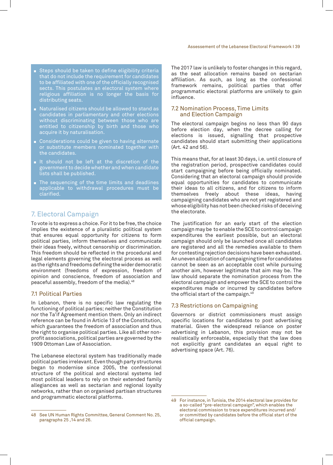- Steps should be taken to define eligibility criteria that do not include the requirement for candidates to be affiliated with one of the officially recognised sects. This postulates an electoral system where religious affiliation is no longer the basis for distributing seats.
- Naturalised citizens should be allowed to stand as candidates in parliamentary and other elections without discriminating between those who are entitled to citizenship by birth and those who acquire it by naturalisation.
- Considerations could be given to having alternate or substitute members nominated together with the candidates.
- $\blacksquare$  It should not be left at the discretion of the government to decide whether and when candidate lists shall be published.
- $\blacksquare$  The sequencing of the time limits and deadlines applicable to withdrawal procedures must be clarified.

## 7. Electoral Campaign

To vote is to express a choice. For it to be free, the choice implies the existence of a pluralistic political system that ensures equal opportunity for citizens to form political parties, inform themselves and communicate their ideas freely, without censorship or discrimination. This freedom should be reflected in the procedural and legal elements governing the electoral process as well as the rights and freedoms defining the wider democratic environment (freedoms of expression, freedom of opinion and conscience, freedom of association and peaceful assembly, freedom of the media).<sup>48</sup>

#### 7.1 Political Parties

In Lebanon, there is no specific law regulating the functioning of political parties; neither the Constitution nor the Ta'if Agreement mention them. Only an indirect reference can be found in Article 13 of the Constitution, which guarantees the freedom of association and thus the right to organise political parties. Like all other nonprofit associations, political parties are governed by the 1909 Ottoman Law of Association.

The Lebanese electoral system has traditionally made political parties irrelevant. Even though party structures began to modernise since 2005, the confessional structure of the political and electoral systems led most political leaders to rely on their extended family allegiances as well as sectarian and regional loyalty networks, rather than on organised partisan structures and programmatic electoral platforms.

The 2017 law is unlikely to foster changes in this regard, as the seat allocation remains based on sectarian affiliation. As such, as long as the confessional framework remains, political parties that offer programmatic electoral platforms are unlikely to gain influence.

#### 7.2 Nomination Process, Time Limits and Election Campaign

The electoral campaign begins no less than 90 days before election day, when the decree calling for elections is issued, signalling that prospective candidates should start submitting their applications (Art. 42 and 56).

This means that, for at least 30 days, i.e. until closure of the registration period, prospective candidates could start campaigning before being officially nominated. Considering that an electoral campaign should provide equal opportunities for candidates to communicate their ideas to all citizens, and for citizens to inform themselves freely about these ideas, having campaigning candidates who are not yet registered and whose eligibility has not been checked risks of deceiving the electorate.

The justification for an early start of the election campaign may be to enable the SCE to control campaign expenditures the earliest possible, but an electoral campaign should only be launched once all candidates are registered and all the remedies available to them for contesting rejection decisions have been exhausted. An uneven allocation of campaigning time for candidates cannot be seen as an acceptable cost while pursuing another aim, however legitimate that aim may be. The law should separate the nomination process from the electoral campaign and empower the SCE to control the expenditures made or incurred by candidates before the official start of the campaign.49

#### 7.3 Restrictions on Campaigning

Governors or district commissioners must assign specific locations for candidates to post advertising material. Given the widespread reliance on poster advertising in Lebanon, this provision may not be realistically enforceable, especially that the law does not explicitly grant candidates an equal right to advertising space (Art. 76).

<sup>48</sup> See UN Human Rights Committee, General Comment No. 25, paragraphs 25 ,14 and 26.

<sup>49</sup> For instance, in Tunisia, the 2014 electoral law provides for a so-called "pre-electoral campaign", which enables the electoral commission to trace expenditures incurred and/ or committed by candidates before the official start of the official campaign.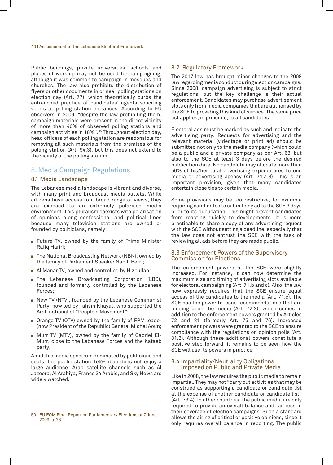#### 40 I Assessement of the Lebanese Electoral Framework

Public buildings, private universities, schools and places of worship may not be used for campaigning, although it was common to campaign in mosques and churches. The law also prohibits the distribution of flyers or other documents in or near polling stations on election day (Art. 77), which theoretically curbs the entrenched practice of candidates' agents soliciting voters at polling station entrances. According to EU observers in 2009, "despite the law prohibiting them, campaign materials were present in the direct vicinity of more than 40% of observed polling stations and campaign activities in 18%".<sup>50</sup> Throughout election day, head officers of each polling station are responsible for removing all such materials from the premises of the polling station (Art. 94.3), but this does not extend to the vicinity of the polling station.

### 8. Media Campaign Regulations

#### 8.1 Media Landscape

The Lebanese media landscape is vibrant and diverse, with many print and broadcast media outlets. While citizens have access to a broad range of views, they are exposed to an extremely polarised media environment. This pluralism coexists with polarisation of opinions along confessional and political lines because many television stations are owned or founded by politicians, namely:

- Future TV, owned by the family of Prime Minister Rafiq Hariri;
- $\blacksquare$  The National Broadcasting Network (NBN), owned by the family of Parliament Speaker Nabih Berri;
- $\blacksquare$  Al Manar TV, owned and controlled by Hizbullah;
- **Fi** The Lebanese Broadcasting Corporation (LBC), founded and formerly controlled by the Lebanese Forces;
- New TV (NTV), founded by the Lebanese Communist Party, now led by Tahsin Khayat, who supported the Arab nationalist "People's Movement";
- $\blacksquare$  Orange TV (OTV) owned by the family of FPM leader (now President of the Republic) General Michel Aoun;
- Murr TV (MTV), owned by the family of Gabriel El-Murr, close to the Lebanese Forces and the Kataeb party.

Amid this media spectrum dominated by politicians and sects, the public station Télé-Liban does not enjoy a large audience. Arab satellite channels such as Al Jazeera, Al Arabiya, France 24 Arabic, and Sky News are widely watched.

#### 8.2. Regulatory Framework

The 2017 law has brought minor changes to the 2008 law regarding media conduct during election campaigns. Since 2008, campaign advertising is subject to strict regulations, but the key challenge is their actual enforcement. Candidates may purchase advertisement slots only from media companies that are authorised by the SCE to providing this kind of service. The same price list applies, in principle, to all candidates.

Electoral ads must be marked as such and indicate the advertising party. Requests for advertising and the relevant material (videotape or print ad) should be submitted not only to the media company (which could be a public and a private company as per Art. 68) but also to the SCE at least 3 days before the desired publication date. No candidate may allocate more than 50% of his/her total advertising expenditures to one media or advertising agency (Art. 71.a.8). This is an important provision, given that many candidates entertain close ties to certain media.

Some provisions may be too restrictive, for example requiring candidates to submit any ad to the SCE 3 days prior to its publication. This might prevent candidates from reacting quickly to developments. It is more practicable to share a copy of any advertising request with the SCE without setting a deadline, especially that the law does not entrust the SCE with the task of reviewing all ads before they are made public.

#### 8.3 Enforcement Powers of the Supervisory Commission for Elections

The enforcement powers of the SCE were slightly increased. For instance, it can now determine the maximum size and timing of advertising slots available for electoral campaigning (Art. 71.b and c). Also, the law now expressly requires that the SCE ensure equal access of the candidates to the media (Art. 71.c). The SCE has the power to issue recommendations that are binding upon the media (Art. 72.2), which comes in addition to the enforcement powers granted by Articles 72 and 81 (formerly Art. 75 and 76). Increased enforcement powers were granted to the SCE to ensure compliance with the regulations on opinion polls (Art. 81.2). Although these additional powers constitute a positive step forward, it remains to be seen how the SCE will use its powers in practice.

#### 8.4 Impartiality/Neutrality Obligations Imposed on Public and Private Media

Like in 2008, the law requires the public media to remain impartial. They may not "carry out activities that may be construed as supporting a candidate or candidate list at the expense of another candidate or candidate list" (Art. 73.4). In other countries, the public media are only required to provide an overall balance and fairness in their coverage of election campaigns. Such a standard allows the airing of critical or positive opinions, since it only requires overall balance in reporting. The public

<sup>50</sup> EU EOM Final Report on Parliamentary Elections of 7 June 2009, p. 26.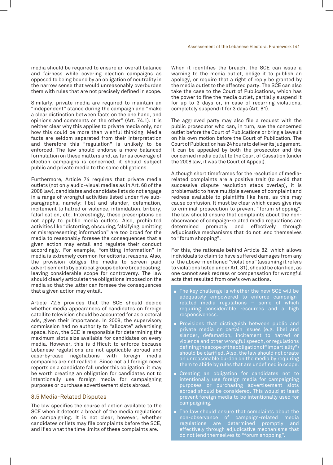media should be required to ensure an overall balance and fairness while covering election campaigns as opposed to being bound by an obligation of neutrality in the narrow sense that would unreasonably overburden them with rules that are not precisely defined in scope.

Similarly, private media are required to maintain an "independent" stance during the campaign and "make a clear distinction between facts on the one hand, and opinions and comments on the other" (Art. 74.1). It is neither clear why this applies to private media only, nor how this could be more than wishful thinking. Media facts are seldom separated from their interpretation and therefore this "regulation" is unlikely to be enforced. The law should endorse a more balanced formulation on these matters and, as far as coverage of election campaigns is concerned, it should subject public and private media to the same obligations.

Furthermore, Article 74 requires that private media outlets (not only audio-visual medias as in Art. 68 of the 2008 law), candidates and candidate lists do not engage in a range of wrongful activities listed under five subparagraphs, namely: libel and slander, defamation, incitement to hatred or violence, intimidation, bribery, falsification, etc. Interestingly, these prescriptions do not apply to public media outlets. Also, prohibited activities like "distorting, obscuring, falsifying, omitting or misrepresenting information" are too broad for the media to reasonably foresee the consequences that a given action may entail and regulate their conduct accordingly. For example, "omitting information" in media is extremely common for editorial reasons. Also, the provision obliges the media to screen paid advertisements by political groups before broadcasting, leaving considerable scope for controversy. The law should clearly articulate the obligations imposed on the media so that the latter can foresee the consequences that a given action may entail.

Article 72.5 provides that the SCE should decide whether media appearances of candidates on foreign satellite television should be accounted for as electoral ads, given their importance. In 2008, the supervisory commission had no authority to "allocate" advertising space. Now, the SCE is responsible for determining the maximum slots size available for candidates on every media. However, this is difficult to enforce because Lebanese regulations are not applicable abroad and case-by-case negotiations with foreign media companies are not realistic. Since not all foreign news reports on a candidate fall under this obligation, it may be worth creating an obligation for candidates not to intentionally use foreign media for campaigning purposes or purchase advertisement slots abroad.

#### 8.5 Media-Related Disputes

The law specifies the course of action available to the SCE when it detects a breach of the media regulations on campaigning. It is not clear, however, whether candidates or lists may file complaints before the SCE, and if so what the time limits of these complaints are.

When it identifies the breach, the SCE can issue a warning to the media outlet, oblige it to publish an apology, or require that a right of reply be granted by the media outlet to the affected party. The SCE can also take the case to the Court of Publications, which has the power to fine the media outlet, partially suspend it for up to 3 days or, in case of recurring violations, completely suspend it for 3 days (Art. 81).

The aggrieved party may also file a request with the public prosecutor who can, in turn, sue the concerned outlet before the Court of Publications or bring a lawsuit on his own motion before the Court of Publication. The Court of Publication has 24 hours to deliver its judgement. It can be appealed by both the prosecutor and the concerned media outlet to the Court of Cassation (under the 2008 law, it was the Court of Appeal).

Although short timeframes for the resolution of mediarelated complaints are a positive trait (to avoid that successive dispute resolution steps overlap), it is problematic to have multiple avenues of complaint and redress available to plaintiffs like here, as this may cause confusion. It must be clear which cases give rise to criminal prosecution to prevent "forum shopping". The law should ensure that complaints about the nonobservance of campaign-related media regulations are<br>determined promptly and effectively through effectively adjudicative mechanisms that do not lend themselves to "forum shopping".

For this, the rationale behind Article 82, which allows individuals to claim to have suffered damages from any of the above-mentioned "violations" (assuming it refers to violations listed under Art. 81), should be clarified, as one cannot seek redress or compensation for wrongful acts that resulted from one's own actions.

- $\textcolor{red}{\bullet}$  The key challenge is whether the new SCE will be adequately empowered to enforce campaignrelated media regulations – some of which requiring considerable resources and a high responsiveness.
- **Provisions that distinguish between public and** private media on certain issues (e.g. libel and slander, defamation, incitement to hatred or violence and other wrongful speech, or regulations defining the scope of the obligation of "impartiality") should be clarified. Also, the law should not create an unreasonable burden on the media by requiring them to abide by rules that are undefined in scope.
- **E** Creating an obligation for candidates not to intentionally use foreign media for campaigning purposes or purchasing advertisement slots abroad should be considered. This would at least prevent foreign media to be intentionally used for campaigning.
- The law should ensure that complaints about the non-observance of campaign-related media regulations are determined promptly and effectively through adjudicative mechanisms that do not lend themselves to "forum shopping".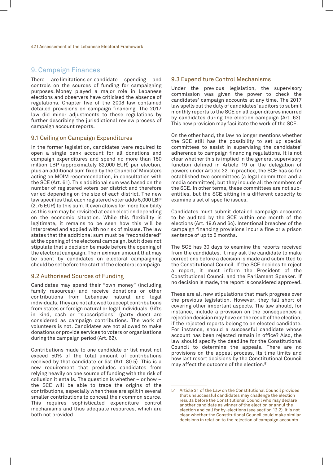### 9. Campaign Finances

There are limitations on candidate spending and controls on the sources of funding for campaigning purposes. Money played a major role in Lebanese elections and observers have criticised the absence of regulations. Chapter five of the 2008 law contained detailed provisions on campaign financing. The 2017 law did minor adjustments to these regulations by further describing the jurisdictional review process of campaign account reports.

#### 9.1 Ceiling on Campaign Expenditures

In the former legislation, candidates were required to open a single bank account for all donations and campaign expenditures and spend no more than 150 million LBP (approximately 82,000 EUR) per election, plus an additional sum fixed by the Council of Ministers acting on MOIM recommendation, in consultation with the SCE (Art. 61). This additional sum was based on the number of registered voters per district and therefore varied depending on the size of each district. The new law specifies that each registered voter adds 5,000 LBP (2.75 EUR) to this sum. It even allows for more flexibility as this sum may be revisited at each election depending on the economic situation. While this flexibility is legitimate, it remains to be seen how this will be interpreted and applied with no risk of misuse. The law states that the additional sum must be "reconsidered" at the opening of the electoral campaign, but it does not stipulate that a decision be made before the opening of the electoral campaign. The maximum amount that may be spent by candidates on electoral campaigning should be set before the start of the electoral campaign.

#### 9.2 Authorised Sources of Funding

Candidates may spend their "own money" (including family resources) and receive donations or other contributions from Lebanese natural and legal individuals. They are not allowed to accept contributions from states or foreign natural or legal individuals. Gifts in kind, cash or "subscriptions" (party dues) are considered as campaign contributions. The work of volunteers is not. Candidates are not allowed to make donations or provide services to voters or organisations during the campaign period (Art. 62).

Contributions made to one candidate or list must not exceed 50% of the total amount of contributions received by that candidate or list (Art. 80.5). This is a new requirement that precludes candidates from relying heavily on one source of funding with the risk of collusion it entails. The question is whether – or how – the SCE will be able to trace the origins of the contributions, especially when these are split in several smaller contributions to conceal their common source. This requires sophisticated expenditure control mechanisms and thus adequate resources, which are both not provided.

#### 9.3 Expenditure Control Mechanisms

Under the previous legislation, the supervisory commission was given the power to check the candidates' campaign accounts at any time. The 2017 law spells out the duty of candidates' auditors to submit monthly reports to the SCE on all expenditures incurred by candidates during the election campaign (Art. 63). This new provision may facilitate the work of the SCE.

On the other hand, the law no longer mentions whether the SCE still has the possibility to set up special committees to assist in supervising the candidates' adherence to campaign financing regulations. It is not clear whether this is implied in the general supervisory function defined in Article 19 or the delegation of powers under Article 22. In practice, the SCE has so far established two committees (a legal committee and a media committee), but they include all the members of the SCE. In other terms, these committees are not subentities, but the SCE sitting in a different capacity to examine a set of specific issues.

Candidates must submit detailed campaign accounts to be audited by the SCE within one month of the elections (Art. 19.6 and 64). Intentional breaches of the campaign financing provisions incur a fine or a prison sentence of up to 6 months.

The SCE has 30 days to examine the reports received from the candidates. It may ask the candidate to make corrections before a decision is made and submitted to the Constitutional Council. If the SCE decides to reject a report, it must inform the President of the Constitutional Council and the Parliament Speaker. If no decision is made, the report is considered approved.

These are all new stipulations that mark progress over the previous legislation. However, they fall short of covering other important aspects. The law should, for instance, include a provision on the consequences a rejection decision may have on the result of the election, if the rejected reports belong to an elected candidate. For instance, should a successful candidate whose account has been rejected remain in office? Also, the law should specify the deadline for the Constitutional Council to determine the appeals. There are no provisions on the appeal process, its time limits and how last resort decisions by the Constitutional Council may affect the outcome of the election.51

<sup>51</sup> Article 31 of the Law on the Constitutional Council provides that unsuccessful candidates may challenge the election results before the Constitutional Council who may declare another candidate as winner of the election or annul the election and call for by-elections (see section 12.2). It is not clear whether the Constitutional Council could make similar decisions in relation to the rejection of campaign accounts.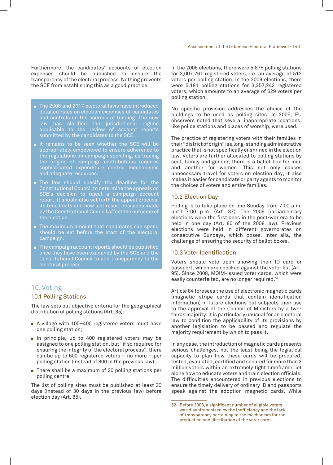- The 2008 and 2017 electoral laws have introduced detailed rules on election expenses of candidates and controls on the sources of funding. The new law has clarified the jurisdictional regime applicable to the review of account reports submitted by the candidates to the SCE.
- $\blacksquare$  It remains to be seen whether the SCE will be appropriately empowered to ensure adherence to the regulations on campaign spending, as tracing the origins of campaign contributions requires sophisticated expenditure control mechanisms and adequate resources.
- $\blacksquare$  The law should specify the deadline for the Constitutional Council to determine the appeals on SCE's decision to reject a campaign account report. It should also set forth the appeal process, its time limits and how last resort decisions made by the Constitutional Council affect the outcome of the election.
- The maximum amount that candidates can spend should be set before the start of the electoral campaign.
- The campaign account reports should be published once they have been examined by the SCE and the Constitutional Council to add transparency to the electoral process.

## 10. Voting

#### 10.1 Polling Stations

The law sets out objective criteria for the geographical distribution of polling stations (Art. 85):

- A village with 100-400 registered voters must have one polling station;
- In principle, up to 400 registered voters may be assigned to one polling station, but "if so required for ensuring the integrity of the electoral process", there can be up to 600 registered voters – no more – per polling station (instead of 800 in the previous law);
- $\blacksquare$  There shall be a maximum of 20 polling stations per polling centre.

The list of polling sites must be published at least 20 days (instead of 30 days in the previous law) before election day (Art. 85).

In the 2005 elections, there were 5,875 polling stations for 3,007,261 registered voters, i.e. an average of 512 voters per polling station. In the 2009 elections, there were 5,181 polling stations for 3,257,243 registered voters, which amounts to an average of 629 voters per polling station.

No specific provision addresses the choice of the buildings to be used as polling sites. In 2005, EU observers noted that several inappropriate locations, like police stations and places of worship, were used.

The practice of registering voters with their families in their "district of origin" is a long-standing administrative practice that is not specifically enshrined in the election law. Voters are further allocated to polling stations by sect, family and gender; there is a ballot box for men and another for women. This not only causes unnecessary travel for voters on election day, it also makes it easier for candidate or party agents to monitor the choices of voters and entire families.

#### 10.2 Election Day

Polling is to take place on one Sunday from 7:00 a.m. until 7:00 p.m. (Art. 87). The 2009 parliamentary elections were the first ones in the post-war era to be held in one day (Art. 80 of the 2008 law). Previous elections were held in different governorates on consecutive Sundays, which poses, inter alia, the challenge of ensuring the security of ballot boxes.

#### 10.3 Voter Identification

Voters should vote upon showing their ID card or passport, which are checked against the voter list (Art. 95). Since 2008, MOIM-issued voter cards, which were easily counterfeited, are no longer required.52

Article 84 foresees the use of electronic magnetic cards (magnetic stripe cards that contain identification information) in future elections but subjects their use to the approval of the Council of Ministers by a twothirds majority. It is particularly unusual for an electoral law to condition the applicability of its provisions by another legislation to be passed and regulate the majority requirement by which to pass it.

In any case, the introduction of magnetic cards presents serious challenges, not the least being the logistical capacity to plan how these cards will be procured, tested, evaluated, certified and secured for more than 3 million voters within an extremely tight timeframe, let alone how to educate voters and train election officials. The difficulties encountered in previous elections to ensure the timely delivery of ordinary ID and passports speak against the adoption magnetic cards. While

<sup>52</sup> Before 2008, a significant number of eligible voters was disenfranchised by the inefficiency and the lack of transparency pertaining to the mechanism for the production and distribution of the voter cards.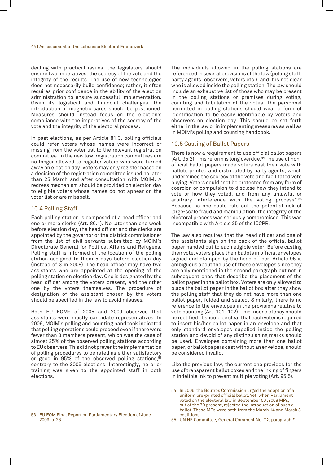dealing with practical issues, the legislators should ensure two imperatives: the secrecy of the vote and the integrity of the results. The use of new technologies does not necessarily build confidence; rather, it often requires prior confidence in the ability of the election administration to ensure successful implementation. Given its logistical and financial challenges, the introduction of magnetic cards should be postponed. Measures should instead focus on the election's compliance with the imperatives of the secrecy of the vote and the integrity of the electoral process.

In past elections, as per Article 81.3, polling officials could refer voters whose names were incorrect or missing from the voter list to the relevant registration committee. In the new law, registration committees are no longer allowed to register voters who were turned away on election day. Voters may only register based on a decision of the registration committee issued no later than 25 March and after consultation with MOIM. A redress mechanism should be provided on election day to eligible voters whose names do not appear on the voter list or are misspelt.

#### 10.4 Polling Staff

Each polling station is composed of a head officer and one or more clerks (Art. 86.1). No later than one week before election day, the head officer and the clerks are appointed by the governor or the district commissioner from the list of civil servants submitted by MOIM's Directorate General for Political Affairs and Refugees. Polling staff is informed of the location of the polling station assigned to them 5 days before election day (instead of 3 in 2008). The head officer may have two assistants who are appointed at the opening of the polling station on election day. One is designated by the head officer among the voters present, and the other one by the voters themselves. The procedure of designation of the assistant chosen by the voters should be specified in the law to avoid misuses.

Both EU EOMs of 2005 and 2009 observed that assistants were mostly candidate representatives. In 2009, MOIM's polling and counting handbook indicated that polling operations could proceed even if there were fewer than 3 members present, which was the case of almost 25% of the observed polling stations according to EU observers. This did not prevent the implementation of polling procedures to be rated as either satisfactory or good in 95% of the observed polling stations,<sup>53</sup> contrary to the 2005 elections. Interestingly, no prior training was given to the appointed staff in both elections.

The individuals allowed in the polling stations are referenced in several provisions of the law (polling staff, party agents, observers, voters etc.), and it is not clear who is allowed inside the polling station. The law should include an exhaustive list of those who may be present in the polling stations or premises during voting, counting and tabulation of the votes. The personnel permitted in polling stations should wear a form of identification to be easily identifiable by voters and observers on election day. This should be set forth either in the law or in implementing measures as well as in MOIM's polling and counting handbook.

#### 10.5 Casting of Ballot Papers

There is now a requirement to use official ballot papers (Art. 95.2). This reform is long overdue.<sup>54</sup> The use of nonofficial ballot papers made voters cast their vote with ballots printed and distributed by party agents, which undermined the secrecy of the vote and facilitated vote buying. Voters could "not be protected from any form of coercion or compulsion to disclose how they intend to vote or how they voted, and from any unlawful or arbitrary interference with the voting process".55 Because no one could rule out the potential risk of large-scale fraud and manipulation, the integrity of the electoral process was seriously compromised. This was incompatible with Article 25 of the ICCPR.

The law also requires that the head officer and one of the assistants sign on the back of the official ballot paper handed out to each eligible voter. Before casting their vote, voters place their ballots in official envelopes signed and stamped by the head officer. Article 95 is ambiguous about the use of these envelopes since they are only mentioned in the second paragraph but not in subsequent ones that describe the placement of the ballot paper in the ballot box. Voters are only allowed to place the ballot paper in the ballot box after they show the polling staff that they do not have more than one ballot paper, folded and sealed. Similarly, there is no reference to the envelopes in the provisions relative to vote counting (Art. 101–102). This inconsistency should be rectified. It should be clear that each voter is required to insert his/her ballot paper in an envelope and that only standard envelopes supplied inside the polling station and devoid of any distinguishing marks should be used. Envelopes containing more than one ballot paper, or ballot papers cast without an envelope, should be considered invalid.

Like the previous law, the current one provides for the use of transparent ballot boxes and the inking of fingers in indelible ink to prevent multiple voting (Art. 95.5).

<sup>54</sup> In 2006, the Boutros Commission urged the adoption of a uniform pre-printed official ballot. Yet, when Parliament voted on the electoral law in September 50 ,2008 MPs, out of the 70 present, rejected the introduction of such a ballot. These MPs were both from the March 14 and March 8 coalitions.

<sup>53</sup> EU EOM Final Report on Parliamentary Election of June 2009, p. 26.

<sup>55</sup> UN HR Committee, General Comment No. 10, paragraph Y..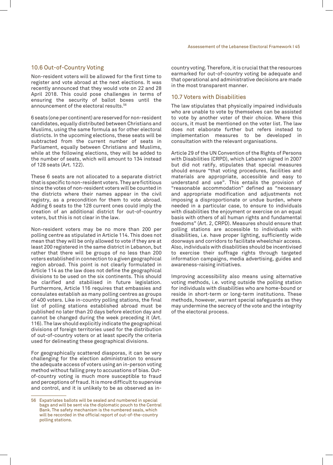#### 10.6 Out-of-Country Voting

Non-resident voters will be allowed for the first time to register and vote abroad at the next elections. It was recently announced that they would vote on 22 and 28 April 2018. This could pose challenges in terms of ensuring the security of ballot boxes until the announcement of the electoral results.56

6 seats (one per continent) are reserved for non-resident candidates, equally distributed between Christians and Muslims, using the same formula as for other electoral districts. In the upcoming elections, these seats will be subtracted from the current number of seats in Parliament, equally between Christians and Muslims, while at the following elections, they will be added to the number of seats, which will amount to 134 instead of 128 seats (Art. 122).

These 6 seats are not allocated to a separate district that is specific to non-resident voters. They are fictitious since the votes of non-resident voters will be counted in the districts where their names appear in the civil registry, as a precondition for them to vote abroad. Adding 6 seats to the 128 current ones could imply the creation of an additional district for out-of-country voters, but this is not clear in the law.

Non-resident voters may be no more than 200 per polling centre as stipulated in Article 114. This does not mean that they will be only allowed to vote if they are at least 200 registered in the same district in Lebanon, but rather that there will be groups of no less than 200 voters established in connection to a given geographical region abroad. This point is not clearly formulated in Article 114 as the law does not define the geographical divisions to be used on the six continents. This should be clarified and stabilised in future legislation. Furthermore, Article 116 requires that embassies and consulates establish as many polling centres as groups of 400 voters. Like in-country polling stations, the final list of polling stations established abroad must be published no later than 20 days before election day and cannot be changed during the week preceding it (Art. 116). The law should explicitly indicate the geographical divisions of foreign territories used for the distribution of out-of-country voters or at least specify the criteria used for delineating these geographical divisions.

For geographically scattered diasporas, it can be very challenging for the election administration to ensure the adequate access of voters using an in-person voting method without falling prey to accusations of bias. Outof-country voting is much more susceptible to fraud and perceptions of fraud. It is more difficult to supervise and control, and it is unlikely to be as observed as in-

country voting. Therefore, it is crucial that the resources earmarked for out-of-country voting be adequate and that operational and administrative decisions are made in the most transparent manner.

#### 10.7 Voters with Disabilities

The law stipulates that physically impaired individuals who are unable to vote by themselves can be assisted to vote by another voter of their choice. Where this occurs, it must be mentioned on the voter list. The law does not elaborate further but refers instead to implementation measures to be developed in consultation with the relevant organisations.

Article 29 of the UN Convention of the Rights of Persons with Disabilities (CRPD), which Lebanon signed in 2007 but did not ratify, stipulates that special measures should ensure "that voting procedures, facilities and materials are appropriate, accessible and easy to understand and use". This entails the provision of "reasonable accommodation" defined as "necessary and appropriate modification and adjustments not imposing a disproportionate or undue burden, where needed in a particular case, to ensure to individuals with disabilities the enjoyment or exercise on an equal basis with others of all human rights and fundamental freedoms" (Art. 2, CRPD). Measures should ensure that polling stations are accessible to individuals with disabilities, i.e. have proper lighting, sufficiently wide doorways and corridors to facilitate wheelchair access. Also, individuals with disabilities should be incentivised to exercise their suffrage rights through targeted information campaigns, media advertising, guides and awareness-raising initiatives.

Improving accessibility also means using alternative voting methods, i.e. voting outside the polling station for individuals with disabilities who are home-bound or reside in short-term or long-term institutions. These methods, however, warrant special safeguards as they may undermine the secrecy of the vote and the integrity of the electoral process.

<sup>56</sup> Expatriates ballots will be sealed and numbered in special bags and will be sent via the diplomatic pouch to the Central Bank. The safety mechanism is the numbered seals, which will be recorded in the official report of out-of-the-country polling stations.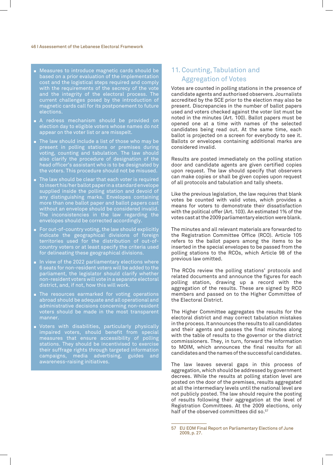#### 46 I Assessement of the Lebanese Electoral Framework

- Measures to introduce magnetic cards should be based on a prior evaluation of the implementation cost and the logistical steps required and comply with the requirements of the secrecy of the vote and the integrity of the electoral process. The current challenges posed by the introduction of magnetic cards call for its postponement to future elections.
- $\blacksquare$  A redress mechanism should be provided on election day to eligible voters whose names do not appear on the voter list or are misspelt.
- $\blacksquare$  The law should include a list of those who may be present in polling stations or premises during voting, counting and tabulation. The law should also clarify the procedure of designation of the head officer's assistant who is to be designated by the voters. This procedure should not be misused.
- The law should be clear that each voter is required to insert his/her ballot paper in a standard envelope supplied inside the polling station and devoid of any distinguishing marks. Envelopes containing more than one ballot paper and ballot papers cast without an envelope should be considered invalid. The inconsistencies in the law regarding the envelopes should be corrected accordingly.
- $\blacksquare$  For out-of-country voting, the law should explicitly indicate the geographical divisions of foreign territories used for the distribution of out-ofcountry voters or at least specify the criteria used for delineating these geographical divisions.
- $\blacksquare$  In view of the 2022 parliamentary elections where 6 seats for non-resident voters will be added to the parliament, the legislator should clarify whether non-resident voters will vote in a separate electoral district, and, if not, how this will work.
- $\blacksquare$  The resources earmarked for voting operations abroad should be adequate and all operational and administrative decisions concerning non-resident voters should be made in the most transparent manner.
- $\blacksquare$  Voters with disabilities, particularly physically impaired voters, should benefit from special measures that ensure accessibility of polling stations. They should be incentivised to exercise their suffrage rights through targeted information campaigns, media advertising, guides and awareness-raising initiatives.

## 11. Counting, Tabulation and Aggregation of Votes

Votes are counted in polling stations in the presence of candidate agents and authorised observers. Journalists accredited by the SCE prior to the election may also be present. Discrepancies in the number of ballot papers used and voters checked against the voter list must be noted in the minutes (Art. 100). Ballot papers must be opened one at a time with names of the selected candidates being read out. At the same time, each ballot is projected on a screen for everybody to see it. Ballots or envelopes containing additional marks are considered invalid.

Results are posted immediately on the polling station door and candidate agents are given certified copies upon request. The law should specify that observers can make copies or shall be given copies upon request of all protocols and tabulation and tally sheets.

Like the previous legislation, the law requires that blank votes be counted with valid votes, which provides a means for voters to demonstrate their dissatisfaction with the political offer (Art. 103). An estimated 1% of the votes cast at the 2009 parliamentary election were blank.

The minutes and all relevant materials are forwarded to the Registration Committee Office (RCO). Article 105 refers to the ballot papers among the items to be inserted in the special envelopes to be passed from the polling stations to the RCOs, which Article 98 of the previous law omitted.

The RCOs review the polling stations' protocols and related documents and announce the figures for each polling station, drawing up a record with the aggregation of the results. These are signed by RCO members and passed on to the Higher Committee of the Electoral District.

The Higher Committee aggregates the results for the electoral district and may correct tabulation mistakes in the process. It announces the results to all candidates and their agents and passes the final minutes along with the table of results to the governor or the district commissioners. They, in turn, forward the information to MOIM, which announces the final results for all candidates and the names of the successful candidates.

The law leaves several gaps in this process of aggregation, which should be addressed by government decrees. While the results at polling station level are posted on the door of the premises, results aggregated at all the intermediary levels until the national level are not publicly posted. The law should require the posting of results following their aggregation at the level of Registration Committees. At the 2009 elections, only half of the observed committees did so.<sup>57</sup>

<sup>57</sup> EU EOM Final Report on Parliamentary Elections of June 2009, p. 27.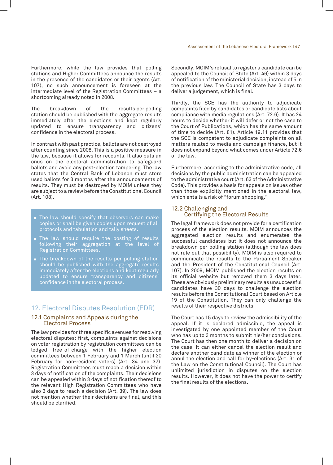Furthermore, while the law provides that polling stations and Higher Committees announce the results in the presence of the candidates or their agents (Art. 107), no such announcement is foreseen at the intermediate level of the Registration Committees – a shortcoming already noted in 2008.

The breakdown of the results per polling station should be published with the aggregate results immediately after the elections and kept regularly updated to ensure transparency and citizens' confidence in the electoral process.

In contrast with past practice, ballots are not destroyed after counting since 2008. This is a positive measure in the law, because it allows for recounts. It also puts an onus on the electoral administration to safeguard ballots and avoid any post-election tampering. The law states that the Central Bank of Lebanon must store used ballots for 3 months after the announcements of results. They must be destroyed by MOIM unless they are subject to a review before the Constitutional Council (Art. 108).

- $\blacksquare$  The law should specify that observers can make copies or shall be given copies upon request of all protocols and tabulation and tally sheets.
- $\blacksquare$  The law should require the posting of results following their aggregation at the level of Registration Committees.
- $\blacksquare$  The breakdown of the results per polling station should be published with the aggregate results immediately after the elections and kept regularly updated to ensure transparency and citizens' confidence in the electoral process.

### 12. Electoral Disputes Resolution (EDR)

#### 12.1 Complaints and Appeals during the Electoral Process

The law provides for three specific avenues for resolving electoral disputes: first, complaints against decisions on voter registration by registration committees can be lodged free-of-charge with the higher election committees between 1 February and 1 March (until 20 February for non-resident voters) (Art. 34 and 37). Registration Committees must reach a decision within 3 days of notification of the complaints. Their decisions can be appealed within 3 days of notification thereof to the relevant High Registration Committees who have also 3 days to reach a decision (Art. 39). The law does not mention whether their decisions are final, and this should be clarified.

Secondly, MOIM's refusal to register a candidate can be appealed to the Council of State (Art. 46) within 3 days of notification of the ministerial decision, instead of 5 in the previous law. The Council of State has 3 days to deliver a judgement, which is final.

Thirdly, the SCE has the authority to adjudicate complaints filed by candidates or candidate lists about compliance with media regulations (Art. 72.6). It has 24 hours to decide whether it will defer or not the case to the Court of Publications, which has the same amount of time to decide (Art. 81). Article 19.11 provides that the SCE is competent to adjudicate complaints on all matters related to media and campaign finance, but it does not expand beyond what comes under Article 72.6 of the law.

Furthermore, according to the administrative code, all decisions by the public administration can be appealed to the administrative court (Art. 63 of the Administrative Code). This provides a basis for appeals on issues other than those explicitly mentioned in the electoral law, which entails a risk of "forum shopping."

#### 12.2 Challenging and Certifying the Electoral Results

The legal framework does not provide for a certification process of the election results. MOIM announces the aggregated election results and enumerates the successful candidates but it does not announce the breakdown per polling station (although the law does not rule out that possibility). MOIM is also required to communicate the results to the Parliament Speaker and the President of the Constitutional Council (Art. 107). In 2009, MOIM published the election results on its official website but removed them 3 days later. These are obviously preliminary results as unsuccessful candidates have 30 days to challenge the election results before the Constitutional Court based on Article 19 of the Constitution. They can only challenge the results of their respective districts.

The Court has 15 days to review the admissibility of the appeal. If it is declared admissible, the appeal is investigated by one appointed member of the Court who has up to 3 months to submit his/her conclusions. The Court has then one month to deliver a decision on the case. It can either cancel the election result and declare another candidate as winner of the election or annul the election and call for by-elections (Art. 31 of the Law on the Constitutional Council). The Court has unlimited jurisdiction in disputes on the election results. However, it does not have the power to certify the final results of the elections.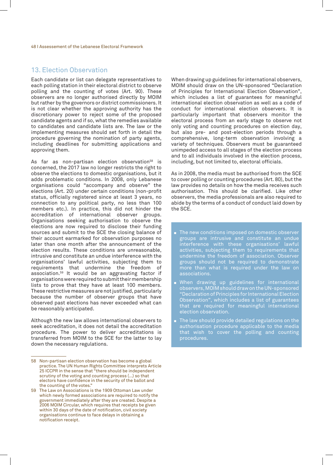### 13. Election Observation

Each candidate or list can delegate representatives to each polling station in their electoral district to observe polling and the counting of votes (Art. 90). These observers are no longer authorised directly by MOIM but rather by the governors or district commissioners. It is not clear whether the approving authority has the discretionary power to reject some of the proposed candidate agents and if so, what the remedies available to candidates and candidate lists are. The law or the implementing measures should set forth in detail the procedure governing the nomination of party agents, including deadlines for submitting applications and approving them.

As far as non-partisan election observation<sup>58</sup> is concerned, the 2017 law no longer restricts the right to observe the elections to domestic organisations, but it adds problematic conditions. In 2008, only Lebanese organisations could "accompany and observe" the elections (Art. 20) under certain conditions (non-profit status, officially registered since at least 3 years, no connection to any political party, no less than 100 members etc.). In practice, this did not hinder the accreditation of international observer groups. Organisations seeking authorisation to observe the elections are now required to disclose their funding sources and submit to the SCE the closing balance of their account earmarked for observation purposes no later than one month after the announcement of the election results. These conditions are unreasonable, intrusive and constitute an undue interference with the organisations' lawful activities, subjecting them to requirements that undermine the freedom of association.59 It would be an aggravating factor if organisations were required to submit their membership lists to prove that they have at least 100 members. These restrictive measures are not justified, particularly because the number of observer groups that have observed past elections has never exceeded what can be reasonably anticipated.

Although the new law allows international observers to seek accreditation, it does not detail the accreditation procedure. The power to deliver accreditations is transferred from MOIM to the SCE for the latter to lay down the necessary regulations.

When drawing up guidelines for international observers, MOIM should draw on the UN-sponsored "Declaration of Principles for International Election Observation", which includes a list of guarantees for meaningful international election observation as well as a code of conduct for international election observers. It is particularly important that observers monitor the electoral process from an early stage to observe not only voting and counting procedures on election day, but also pre- and post-election periods through a comprehensive, long-term observation involving a variety of techniques. Observers must be guaranteed unimpeded access to all stages of the election process and to all individuals involved in the election process, including, but not limited to, electoral officials.

As in 2008, the media must be authorised from the SCE to cover polling or counting procedures (Art. 80), but the law provides no details on how the media receives such authorisation. This should be clarified. Like other observers, the media professionals are also required to abide by the terms of a conduct of conduct laid down by the SCE.

- $\blacksquare$  The new conditions imposed on domestic observer groups are intrusive and constitute an undue interference with these organisations' lawful activities, subjecting them to requirements that undermine the freedom of association. Observer groups should not be required to demonstrate more than what is required under the law on associations.
- $\blacksquare$  When drawing up guidelines for international observers, MOIM should draw on the UN-sponsored "Declaration of Principles for International Election Observation", which includes a list of guarantees that are required for meaningful international election observation.
- $\blacksquare$  The law should provide detailed regulations on the authorisation procedure applicable to the media that wish to cover the polling and counting procedures.

<sup>58</sup> Non-partisan election observation has become a global practice. The UN Human Rights Committee interprets Article 25 ICCPR in the sense that "there should be independent scrutiny of the voting and counting process (…) so that electors have confidence in the security of the ballot and the counting of the votes."

<sup>59</sup> The Law on Associations is the 1909 Ottoman Law under which newly formed associations are required to notify the government immediately after they are created. Despite a 2006 MOIM Circular, which requires that receipts be given within 30 days of the date of notification, civil society organisations continue to face delays in obtaining a notification receipt.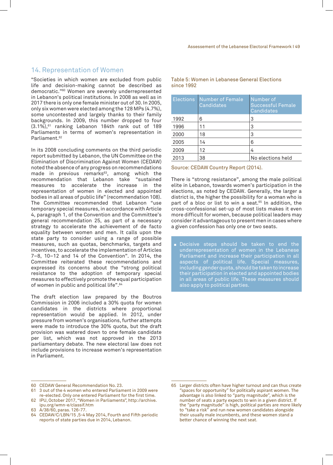### 14. Representation of Women

"Societies in which women are excluded from public life and decision-making cannot be described as democratic."60 Women are severely underrepresented in Lebanon's political institutions. In 2008 as well as in 2017 there is only one female minister out of 30. In 2005, only six women were elected among the 128 MPs (4.7%), some uncontested and largely thanks to their family backgrounds. In 2009, this number dropped to four (3.1%),61 ranking Lebanon 184th rank out of 189 Parliaments in terms of women's representation in Parliament.<sup>62</sup>

In its 2008 concluding comments on the third periodic report submitted by Lebanon, the UN Committee on the Elimination of Discrimination Against Women (CEDAW) noted the absence of any progress on recommendations made in previous remarks $63$ , among which the recommendation that Lebanon take "sustained measures to accelerate the increase in the representation of women in elected and appointed bodies in all areas of public life" (recommendation 108). The Committee recommended that Lebanon "use temporary special measures, in accordance with Article 4, paragraph 1, of the Convention and the Committee's general recommendation 25, as part of a necessary strategy to accelerate the achievement of de facto equality between women and men. It calls upon the state party to consider using a range of possible measures, such as quotas, benchmarks, targets and incentives, to accelerate the implementation of Articles 7–8, 10–12 and 14 of the Convention". In 2014, the Committee reiterated these recommendations and expressed its concerns about the "strong political resistance to the adoption of temporary special measures to effectively promote the equal participation of women in public and political life".64

The draft election law prepared by the Boutros Commission in 2006 included a 30% quota for women candidates in the districts where proportional representation would be applied. In 2012, under pressure from women's organisations, further attempts were made to introduce the 30% quota, but the draft provision was watered down to one female candidate per list, which was not approved in the 2013 parliamentary debate. The new electoral law does not include provisions to increase women's representation in Parliament.

| <b>Elections</b> | Number of Female<br>Candidates | Number of<br><b>Successful Female</b><br>Candidates |
|------------------|--------------------------------|-----------------------------------------------------|
| 1992             | 6                              | 3                                                   |
| 1996             | 11                             | 3                                                   |
| 2000             | 18                             | 3                                                   |
| 2005             | 14                             | 6                                                   |
| 2009             | 12                             | 4                                                   |
| 2013             | 38                             | No elections held                                   |

#### Table 5: Women in Lebanese General Elections since 1992

Source: CEDAW Country Report (2014).

There is "strong resistance", among the male political elite in Lebanon, towards women's participation in the elections, as noted by CEDAW. Generally, the larger a district is, the higher the possibility for a woman who is part of a bloc or list to win a seat.<sup>65</sup> In addition, the cross-confessional set-up of most lists makes it even more difficult for women, because political leaders may consider it advantageous to present men in cases where a given confession has only one or two seats.

Decisive steps should be taken to end the underrepresentation of women in the Lebanese Parliament and increase their participation in all aspects of political life. Special measures, including gender quota, should be taken to increase their participation in elected and appointed bodies in all areas of public life. These measures should also apply to political parties.

<sup>60</sup> CEDAW General Recommendation No. 23.

<sup>61</sup> 3 out of the 4 women who entered Parliament in 2009 were re-elected. Only one entered Parliament for the first time.

<sup>62</sup> IPU, October 2017, "Women in Parliaments", http://archive. ipu.org/wmn-e/classif.htm 63 A/38/60, paras. 126-77.

<sup>64</sup> CEDAW/C/LBN/15 ,5-4 May 2014, Fourth and Fifth periodic reports of state parties due in 2014, Lebanon.

<sup>65</sup> Larger districts often have higher turnout and can thus create "spaces for opportunity" for politically aspirant women. The advantage is also linked to "party magnitude", which is the number of seats a party expects to win in a given district. If the "party magnitude" is high, political parties are more likely to "take a risk" and run new women candidates alongside their usually male incumbents, and these women stand a better chance of winning the next seat.